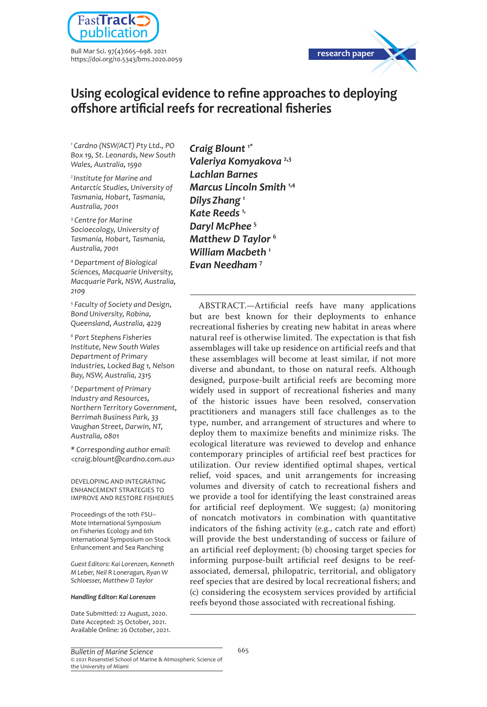

Bull Mar Sci. 97(4):665–698. 2021 https://doi.org/10.5343/bms.2020.0059



# **Using ecological evidence to refine approaches to deploying offshore artificial reefs for recreational fisheries**

*1 Cardno (NSW/ACT) Pty Ltd., PO Box 19, St. Leonards, New South Wales, Australia, 1590*

*2 Institute for Marine and Antarctic Studies, University of Tasmania, Hobart, Tasmania, Australia, 7001*

*3 Centre for Marine Socioecology, University of Tasmania, Hobart, Tasmania, Australia, 7001*

*4 Department of Biological Sciences, Macquarie University, Macquarie Park, NSW, Australia, 2109*

*5 Faculty of Society and Design, Bond University, Robina, Queensland, Australia, 4229*

*6 Port Stephens Fisheries Institute, New South Wales Department of Primary Industries, Locked Bag 1, Nelson Bay, NSW, Australia, 2315*

*7 Department of Primary Industry and Resources, Northern Territory Government, Berrimah Business Park, 33 Vaughan Street, Darwin, NT, Australia, 0801*

*\* Corresponding author email: <craig.blount@cardno.com.au>*

DEVELOPING AND INTEGRATING ENHANCEMENT STRATEGIES TO IMPROVE AND RESTORE FISHERIES

Proceedings of the 1oth FSU– Mote International Symposium on Fisheries Ecology and 6th International Symposium on Stock Enhancement and Sea Ranching

*Guest Editors: Kai Lorenzen, Kenneth M Leber, Neil R Loneragan, Ryan W Schloesser, Matthew D Taylor*

#### *Handling Editor: Kai Lorenzen*

Date Submitted: 22 August, 2020. Date Accepted: 25 October, 2021. Available Online: 26 October, 2021. *Craig Blount* **1\*** *Valeriya Komyakova* **2,3** *Lachlan Barnes Marcus Lincoln Smith* **1,4** *DilysZhang* **<sup>1</sup>** *Kate Reeds* **1,** *Daryl McPhee* **<sup>5</sup>** *Matthew D Taylor* **<sup>6</sup>** *William Macbeth* **<sup>1</sup>** *Evan Needham* **<sup>7</sup>**

ABSTRACT.—Artificial reefs have many applications but are best known for their deployments to enhance recreational fisheries by creating new habitat in areas where natural reef is otherwise limited. The expectation is that fish assemblages will take up residence on artificial reefs and that these assemblages will become at least similar, if not more diverse and abundant, to those on natural reefs. Although designed, purpose-built artificial reefs are becoming more widely used in support of recreational fisheries and many of the historic issues have been resolved, conservation practitioners and managers still face challenges as to the type, number, and arrangement of structures and where to deploy them to maximize benefits and minimize risks. The ecological literature was reviewed to develop and enhance contemporary principles of artificial reef best practices for utilization. Our review identified optimal shapes, vertical relief, void spaces, and unit arrangements for increasing volumes and diversity of catch to recreational fishers and we provide a tool for identifying the least constrained areas for artificial reef deployment. We suggest; (a) monitoring of noncatch motivators in combination with quantitative indicators of the fishing activity (e.g., catch rate and effort) will provide the best understanding of success or failure of an artificial reef deployment; (b) choosing target species for informing purpose-built artificial reef designs to be reefassociated, demersal, philopatric, territorial, and obligatory reef species that are desired by local recreational fishers; and (c) considering the ecosystem services provided by artificial reefs beyond those associated with recreational fishing.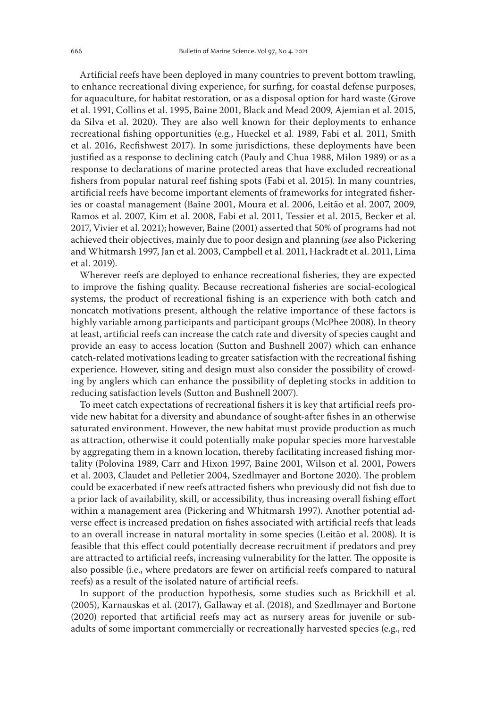Artificial reefs have been deployed in many countries to prevent bottom trawling, to enhance recreational diving experience, for surfing, for coastal defense purposes, for aquaculture, for habitat restoration, or as a disposal option for hard waste (Grove et al. 1991, Collins et al. 1995, Baine 2001, Black and Mead 2009, Ajemian et al. 2015, da Silva et al. 2020). They are also well known for their deployments to enhance recreational fishing opportunities (e.g., Hueckel et al. 1989, Fabi et al. 2011, Smith et al. 2016, Recfishwest 2017). In some jurisdictions, these deployments have been justified as a response to declining catch (Pauly and Chua 1988, Milon 1989) or as a response to declarations of marine protected areas that have excluded recreational fishers from popular natural reef fishing spots (Fabi et al. 2015). In many countries, artificial reefs have become important elements of frameworks for integrated fisheries or coastal management (Baine 2001, Moura et al. 2006, Leitão et al. 2007, 2009, Ramos et al. 2007, Kim et al. 2008, Fabi et al. 2011, Tessier et al. 2015, Becker et al. 2017, Vivier et al. 2021); however, Baine (2001) asserted that 50% of programs had not achieved their objectives, mainly due to poor design and planning (*see* also Pickering and Whitmarsh 1997, Jan et al. 2003, Campbell et al. 2011, Hackradt et al. 2011, Lima et al. 2019).

Wherever reefs are deployed to enhance recreational fisheries, they are expected to improve the fishing quality. Because recreational fisheries are social-ecological systems, the product of recreational fishing is an experience with both catch and noncatch motivations present, although the relative importance of these factors is highly variable among participants and participant groups (McPhee 2008). In theory at least, artificial reefs can increase the catch rate and diversity of species caught and provide an easy to access location (Sutton and Bushnell 2007) which can enhance catch-related motivations leading to greater satisfaction with the recreational fishing experience. However, siting and design must also consider the possibility of crowding by anglers which can enhance the possibility of depleting stocks in addition to reducing satisfaction levels (Sutton and Bushnell 2007).

To meet catch expectations of recreational fishers it is key that artificial reefs provide new habitat for a diversity and abundance of sought-after fishes in an otherwise saturated environment. However, the new habitat must provide production as much as attraction, otherwise it could potentially make popular species more harvestable by aggregating them in a known location, thereby facilitating increased fishing mortality (Polovina 1989, Carr and Hixon 1997, Baine 2001, Wilson et al. 2001, Powers et al. 2003, Claudet and Pelletier 2004, Szedlmayer and Bortone 2020). The problem could be exacerbated if new reefs attracted fishers who previously did not fish due to a prior lack of availability, skill, or accessibility, thus increasing overall fishing effort within a management area (Pickering and Whitmarsh 1997). Another potential adverse effect is increased predation on fishes associated with artificial reefs that leads to an overall increase in natural mortality in some species (Leitão et al. 2008). It is feasible that this effect could potentially decrease recruitment if predators and prey are attracted to artificial reefs, increasing vulnerability for the latter. The opposite is also possible (i.e., where predators are fewer on artificial reefs compared to natural reefs) as a result of the isolated nature of artificial reefs.

In support of the production hypothesis, some studies such as Brickhill et al. (2005), Karnauskas et al. (2017), Gallaway et al. (2018), and Szedlmayer and Bortone (2020) reported that artificial reefs may act as nursery areas for juvenile or subadults of some important commercially or recreationally harvested species (e.g., red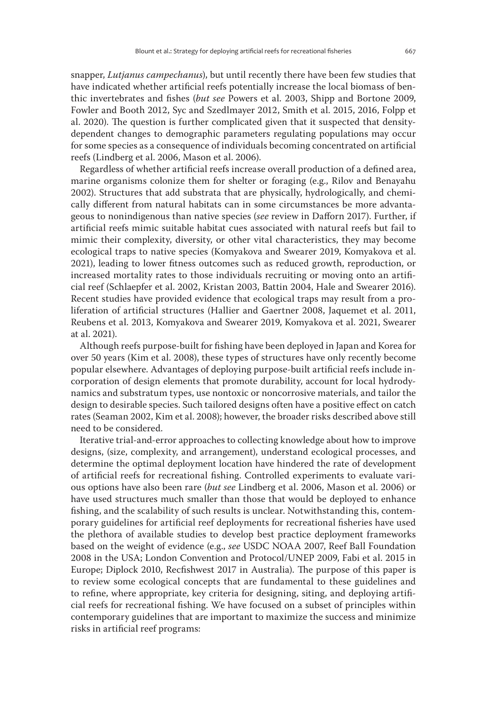snapper, *Lutjanus campechanus*), but until recently there have been few studies that have indicated whether artificial reefs potentially increase the local biomass of benthic invertebrates and fishes (*but see* Powers et al. 2003, Shipp and Bortone 2009, Fowler and Booth 2012, Syc and Szedlmayer 2012, Smith et al. 2015, 2016, Folpp et al. 2020). The question is further complicated given that it suspected that densitydependent changes to demographic parameters regulating populations may occur for some species as a consequence of individuals becoming concentrated on artificial reefs (Lindberg et al. 2006, Mason et al. 2006).

Regardless of whether artificial reefs increase overall production of a defined area, marine organisms colonize them for shelter or foraging (e.g., Rilov and Benayahu 2002). Structures that add substrata that are physically, hydrologically, and chemically different from natural habitats can in some circumstances be more advantageous to nonindigenous than native species (*see* review in Dafforn 2017). Further, if artificial reefs mimic suitable habitat cues associated with natural reefs but fail to mimic their complexity, diversity, or other vital characteristics, they may become ecological traps to native species (Komyakova and Swearer 2019, Komyakova et al. 2021), leading to lower fitness outcomes such as reduced growth, reproduction, or increased mortality rates to those individuals recruiting or moving onto an artificial reef (Schlaepfer et al. 2002, Kristan 2003, Battin 2004, Hale and Swearer 2016). Recent studies have provided evidence that ecological traps may result from a proliferation of artificial structures (Hallier and Gaertner 2008, Jaquemet et al. 2011, Reubens et al. 2013, Komyakova and Swearer 2019, Komyakova et al. 2021, Swearer at al. 2021).

Although reefs purpose-built for fishing have been deployed in Japan and Korea for over 50 years (Kim et al. 2008), these types of structures have only recently become popular elsewhere. Advantages of deploying purpose-built artificial reefs include incorporation of design elements that promote durability, account for local hydrodynamics and substratum types, use nontoxic or noncorrosive materials, and tailor the design to desirable species. Such tailored designs often have a positive effect on catch rates (Seaman 2002, Kim et al. 2008); however, the broader risks described above still need to be considered.

Iterative trial-and-error approaches to collecting knowledge about how to improve designs, (size, complexity, and arrangement), understand ecological processes, and determine the optimal deployment location have hindered the rate of development of artificial reefs for recreational fishing. Controlled experiments to evaluate various options have also been rare (*but see* Lindberg et al. 2006, Mason et al. 2006) or have used structures much smaller than those that would be deployed to enhance fishing, and the scalability of such results is unclear. Notwithstanding this, contemporary guidelines for artificial reef deployments for recreational fisheries have used the plethora of available studies to develop best practice deployment frameworks based on the weight of evidence (e.g., *see* USDC NOAA 2007, Reef Ball Foundation 2008 in the USA; London Convention and Protocol/UNEP 2009, Fabi et al. 2015 in Europe; Diplock 2010, Recfishwest 2017 in Australia). The purpose of this paper is to review some ecological concepts that are fundamental to these guidelines and to refine, where appropriate, key criteria for designing, siting, and deploying artificial reefs for recreational fishing. We have focused on a subset of principles within contemporary guidelines that are important to maximize the success and minimize risks in artificial reef programs: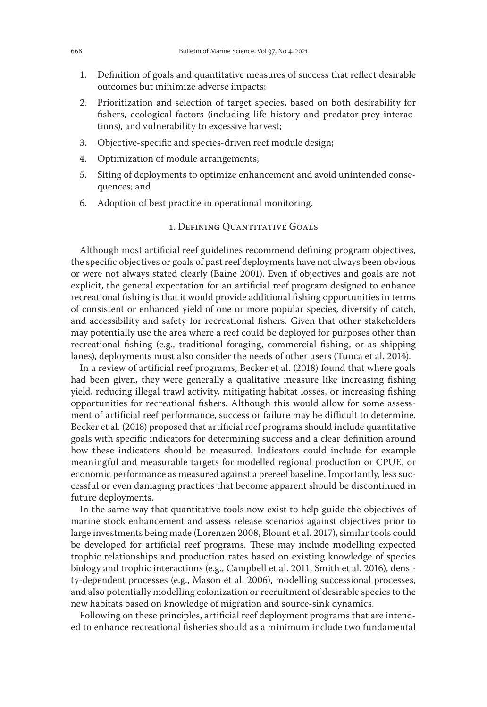- 1. Definition of goals and quantitative measures of success that reflect desirable outcomes but minimize adverse impacts;
- 2. Prioritization and selection of target species, based on both desirability for fishers, ecological factors (including life history and predator-prey interactions), and vulnerability to excessive harvest;
- 3. Objective-specific and species-driven reef module design;
- 4. Optimization of module arrangements;
- 5. Siting of deployments to optimize enhancement and avoid unintended consequences; and
- 6. Adoption of best practice in operational monitoring.

## 1. Defining Quantitative Goals

Although most artificial reef guidelines recommend defining program objectives, the specific objectives or goals of past reef deployments have not always been obvious or were not always stated clearly (Baine 2001). Even if objectives and goals are not explicit, the general expectation for an artificial reef program designed to enhance recreational fishing is that it would provide additional fishing opportunities in terms of consistent or enhanced yield of one or more popular species, diversity of catch, and accessibility and safety for recreational fishers. Given that other stakeholders may potentially use the area where a reef could be deployed for purposes other than recreational fishing (e.g., traditional foraging, commercial fishing, or as shipping lanes), deployments must also consider the needs of other users (Tunca et al. 2014).

In a review of artificial reef programs, Becker et al. (2018) found that where goals had been given, they were generally a qualitative measure like increasing fishing yield, reducing illegal trawl activity, mitigating habitat losses, or increasing fishing opportunities for recreational fishers. Although this would allow for some assessment of artificial reef performance, success or failure may be difficult to determine. Becker et al. (2018) proposed that artificial reef programs should include quantitative goals with specific indicators for determining success and a clear definition around how these indicators should be measured. Indicators could include for example meaningful and measurable targets for modelled regional production or CPUE, or economic performance as measured against a prereef baseline. Importantly, less successful or even damaging practices that become apparent should be discontinued in future deployments.

In the same way that quantitative tools now exist to help guide the objectives of marine stock enhancement and assess release scenarios against objectives prior to large investments being made (Lorenzen 2008, Blount et al. 2017), similar tools could be developed for artificial reef programs. These may include modelling expected trophic relationships and production rates based on existing knowledge of species biology and trophic interactions (e.g., Campbell et al. 2011, Smith et al. 2016), density-dependent processes (e.g., Mason et al. 2006), modelling successional processes, and also potentially modelling colonization or recruitment of desirable species to the new habitats based on knowledge of migration and source-sink dynamics.

Following on these principles, artificial reef deployment programs that are intended to enhance recreational fisheries should as a minimum include two fundamental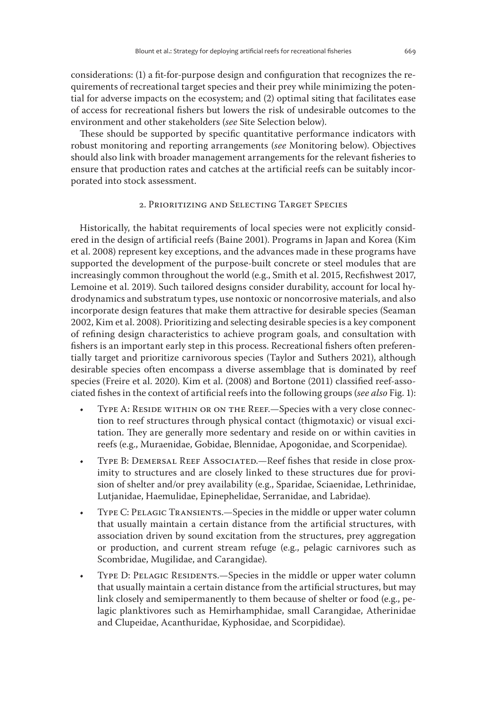considerations: (1) a fit-for-purpose design and configuration that recognizes the requirements of recreational target species and their prey while minimizing the potential for adverse impacts on the ecosystem; and (2) optimal siting that facilitates ease of access for recreational fishers but lowers the risk of undesirable outcomes to the environment and other stakeholders (*see* Site Selection below).

These should be supported by specific quantitative performance indicators with robust monitoring and reporting arrangements (*see* Monitoring below). Objectives should also link with broader management arrangements for the relevant fisheries to ensure that production rates and catches at the artificial reefs can be suitably incorporated into stock assessment.

## 2. Prioritizing and Selecting Target Species

Historically, the habitat requirements of local species were not explicitly considered in the design of artificial reefs (Baine 2001). Programs in Japan and Korea (Kim et al. 2008) represent key exceptions, and the advances made in these programs have supported the development of the purpose-built concrete or steel modules that are increasingly common throughout the world (e.g., Smith et al. 2015, Recfishwest 2017, Lemoine et al. 2019). Such tailored designs consider durability, account for local hydrodynamics and substratum types, use nontoxic or noncorrosive materials, and also incorporate design features that make them attractive for desirable species (Seaman 2002, Kim et al. 2008). Prioritizing and selecting desirable species is a key component of refining design characteristics to achieve program goals, and consultation with fishers is an important early step in this process. Recreational fishers often preferentially target and prioritize carnivorous species (Taylor and Suthers 2021), although desirable species often encompass a diverse assemblage that is dominated by reef species (Freire et al. 2020). Kim et al. (2008) and Bortone (2011) classified reef-associated fishes in the context of artificial reefs into the following groups (*see also* Fig. 1):

- TYPE A: RESIDE WITHIN OR ON THE REEF.—Species with a very close connection to reef structures through physical contact (thigmotaxic) or visual excitation. They are generally more sedentary and reside on or within cavities in reefs (e.g., Muraenidae, Gobidae, Blennidae, Apogonidae, and Scorpenidae).
- TYPE B: DEMERSAL REEF ASSOCIATED.—Reef fishes that reside in close proximity to structures and are closely linked to these structures due for provision of shelter and/or prey availability (e.g., Sparidae, Sciaenidae, Lethrinidae, Lutjanidae, Haemulidae, Epinephelidae, Serranidae, and Labridae).
- Type C: Pelagic Transients.—Species in the middle or upper water column that usually maintain a certain distance from the artificial structures, with association driven by sound excitation from the structures, prey aggregation or production, and current stream refuge (e.g., pelagic carnivores such as Scombridae, Mugilidae, and Carangidae).
- TYPE D: PELAGIC RESIDENTS.—Species in the middle or upper water column that usually maintain a certain distance from the artificial structures, but may link closely and semipermanently to them because of shelter or food (e.g., pelagic planktivores such as Hemirhamphidae, small Carangidae, Atherinidae and Clupeidae, Acanthuridae, Kyphosidae, and Scorpididae).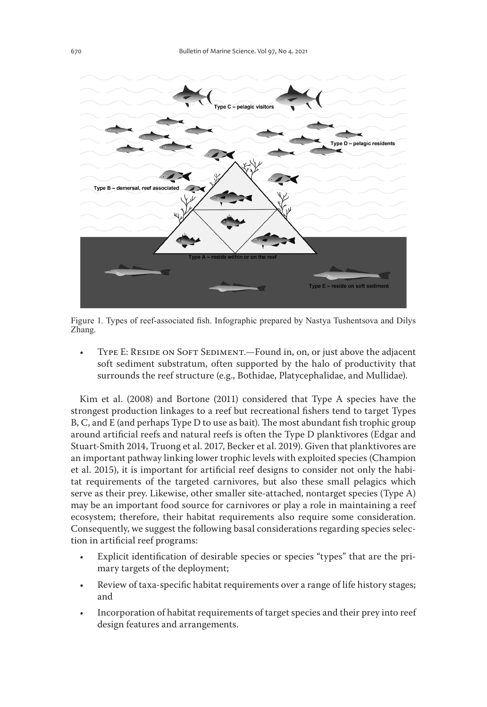

Figure 1. Types of reef-associated fish. Infographic prepared by Nastya Tushentsova and Dilys Zhang.

TYPE E: RESIDE ON SOFT SEDIMENT.—Found in, on, or just above the adjacent soft sediment substratum, often supported by the halo of productivity that surrounds the reef structure (e.g., Bothidae, Platycephalidae, and Mullidae).

Kim et al. (2008) and Bortone (2011) considered that Type A species have the strongest production linkages to a reef but recreational fishers tend to target Types B, C, and E (and perhaps Type D to use as bait). The most abundant fish trophic group around artificial reefs and natural reefs is often the Type D planktivores (Edgar and Stuart-Smith 2014, Truong et al. 2017, Becker et al. 2019). Given that planktivores are an important pathway linking lower trophic levels with exploited species (Champion et al. 2015), it is important for artificial reef designs to consider not only the habitat requirements of the targeted carnivores, but also these small pelagics which serve as their prey. Likewise, other smaller site-attached, nontarget species (Type A) may be an important food source for carnivores or play a role in maintaining a reef ecosystem; therefore, their habitat requirements also require some consideration. Consequently, we suggest the following basal considerations regarding species selection in artificial reef programs:

- Explicit identification of desirable species or species "types" that are the primary targets of the deployment;
- Review of taxa-specific habitat requirements over a range of life history stages; and
- Incorporation of habitat requirements of target species and their prey into reef design features and arrangements.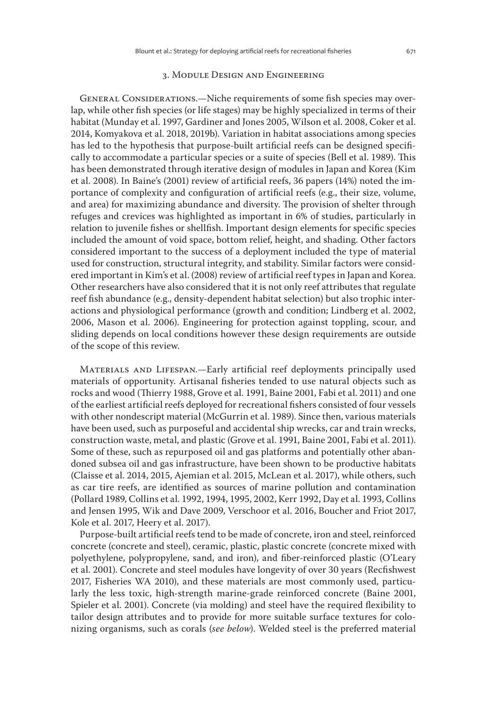#### 3. Module Design and Engineering

GENERAL CONSIDERATIONS.—Niche requirements of some fish species may overlap, while other fish species (or life stages) may be highly specialized in terms of their habitat (Munday et al. 1997, Gardiner and Jones 2005, Wilson et al. 2008, Coker et al. 2014, Komyakova et al. 2018, 2019b). Variation in habitat associations among species has led to the hypothesis that purpose-built artificial reefs can be designed specifically to accommodate a particular species or a suite of species (Bell et al. 1989). This has been demonstrated through iterative design of modules in Japan and Korea (Kim et al. 2008). In Baine's (2001) review of artificial reefs, 36 papers (14%) noted the importance of complexity and configuration of artificial reefs (e.g., their size, volume, and area) for maximizing abundance and diversity. The provision of shelter through refuges and crevices was highlighted as important in 6% of studies, particularly in relation to juvenile fishes or shellfish. Important design elements for specific species included the amount of void space, bottom relief, height, and shading. Other factors considered important to the success of a deployment included the type of material used for construction, structural integrity, and stability. Similar factors were considered important in Kim's et al. (2008) review of artificial reef types in Japan and Korea. Other researchers have also considered that it is not only reef attributes that regulate reef fish abundance (e.g., density-dependent habitat selection) but also trophic interactions and physiological performance (growth and condition; Lindberg et al. 2002, 2006, Mason et al. 2006). Engineering for protection against toppling, scour, and sliding depends on local conditions however these design requirements are outside of the scope of this review.

Materials and Lifespan.—Early artificial reef deployments principally used materials of opportunity. Artisanal fisheries tended to use natural objects such as rocks and wood (Thierry 1988, Grove et al. 1991, Baine 2001, Fabi et al. 2011) and one of the earliest artificial reefs deployed for recreational fishers consisted of four vessels with other nondescript material (McGurrin et al. 1989). Since then, various materials have been used, such as purposeful and accidental ship wrecks, car and train wrecks, construction waste, metal, and plastic (Grove et al. 1991, Baine 2001, Fabi et al. 2011). Some of these, such as repurposed oil and gas platforms and potentially other abandoned subsea oil and gas infrastructure, have been shown to be productive habitats (Claisse et al. 2014, 2015, Ajemian et al. 2015, McLean et al. 2017), while others, such as car tire reefs, are identified as sources of marine pollution and contamination (Pollard 1989, Collins et al. 1992, 1994, 1995, 2002, Kerr 1992, Day et al. 1993, Collins and Jensen 1995, Wik and Dave 2009, Verschoor et al. 2016, Boucher and Friot 2017, Kole et al. 2017, Heery et al. 2017).

Purpose-built artificial reefs tend to be made of concrete, iron and steel, reinforced concrete (concrete and steel), ceramic, plastic, plastic concrete (concrete mixed with polyethylene, polypropylene, sand, and iron), and fiber-reinforced plastic (O'Leary et al. 2001). Concrete and steel modules have longevity of over 30 years (Recfishwest 2017, Fisheries WA 2010), and these materials are most commonly used, particularly the less toxic, high-strength marine-grade reinforced concrete (Baine 2001, Spieler et al. 2001). Concrete (via molding) and steel have the required flexibility to tailor design attributes and to provide for more suitable surface textures for colonizing organisms, such as corals (*see below*). Welded steel is the preferred material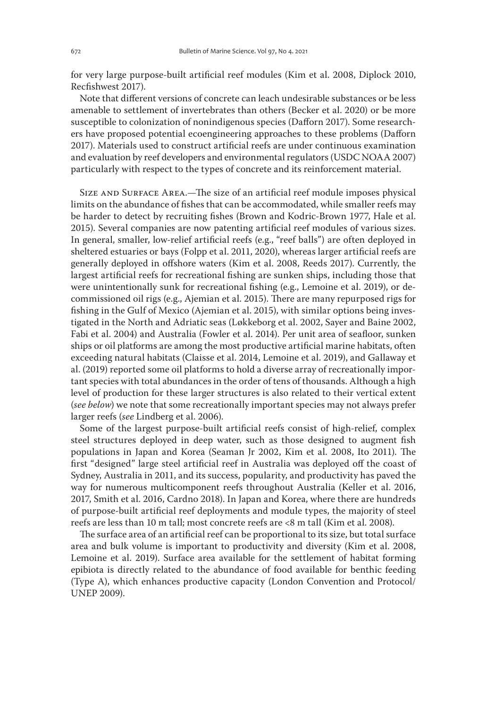for very large purpose-built artificial reef modules (Kim et al. 2008, Diplock 2010, Recfishwest 2017).

Note that different versions of concrete can leach undesirable substances or be less amenable to settlement of invertebrates than others (Becker et al. 2020) or be more susceptible to colonization of nonindigenous species (Dafforn 2017). Some researchers have proposed potential ecoengineering approaches to these problems (Dafforn 2017). Materials used to construct artificial reefs are under continuous examination and evaluation by reef developers and environmental regulators (USDC NOAA 2007) particularly with respect to the types of concrete and its reinforcement material.

SIZE AND SURFACE AREA.—The size of an artificial reef module imposes physical limits on the abundance of fishes that can be accommodated, while smaller reefs may be harder to detect by recruiting fishes (Brown and Kodric-Brown 1977, Hale et al. 2015). Several companies are now patenting artificial reef modules of various sizes. In general, smaller, low-relief artificial reefs (e.g., "reef balls") are often deployed in sheltered estuaries or bays (Folpp et al. 2011, 2020), whereas larger artificial reefs are generally deployed in offshore waters (Kim et al. 2008, Reeds 2017). Currently, the largest artificial reefs for recreational fishing are sunken ships, including those that were unintentionally sunk for recreational fishing (e.g., Lemoine et al. 2019), or decommissioned oil rigs (e.g., Ajemian et al. 2015). There are many repurposed rigs for fishing in the Gulf of Mexico (Ajemian et al. 2015), with similar options being investigated in the North and Adriatic seas (Løkkeborg et al. 2002, Sayer and Baine 2002, Fabi et al. 2004) and Australia (Fowler et al. 2014). Per unit area of seafloor, sunken ships or oil platforms are among the most productive artificial marine habitats, often exceeding natural habitats (Claisse et al. 2014, Lemoine et al. 2019), and Gallaway et al. (2019) reported some oil platforms to hold a diverse array of recreationally important species with total abundances in the order of tens of thousands. Although a high level of production for these larger structures is also related to their vertical extent (*see below*) we note that some recreationally important species may not always prefer larger reefs (*see* Lindberg et al. 2006).

Some of the largest purpose-built artificial reefs consist of high-relief, complex steel structures deployed in deep water, such as those designed to augment fish populations in Japan and Korea (Seaman Jr 2002, Kim et al. 2008, Ito 2011). The first "designed" large steel artificial reef in Australia was deployed off the coast of Sydney, Australia in 2011, and its success, popularity, and productivity has paved the way for numerous multicomponent reefs throughout Australia (Keller et al. 2016, 2017, Smith et al. 2016, Cardno 2018). In Japan and Korea, where there are hundreds of purpose-built artificial reef deployments and module types, the majority of steel reefs are less than 10 m tall; most concrete reefs are <8 m tall (Kim et al. 2008).

The surface area of an artificial reef can be proportional to its size, but total surface area and bulk volume is important to productivity and diversity (Kim et al. 2008, Lemoine et al. 2019). Surface area available for the settlement of habitat forming epibiota is directly related to the abundance of food available for benthic feeding (Type A), which enhances productive capacity (London Convention and Protocol/ UNEP 2009).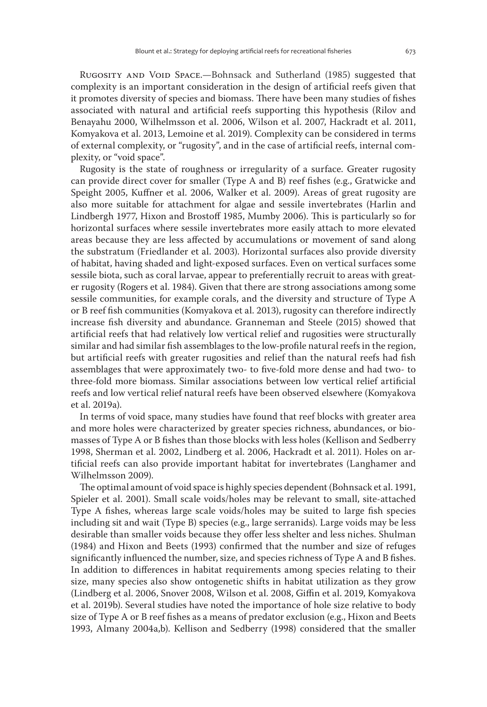RUGOSITY AND VOID SPACE.—Bohnsack and Sutherland (1985) suggested that complexity is an important consideration in the design of artificial reefs given that it promotes diversity of species and biomass. There have been many studies of fishes associated with natural and artificial reefs supporting this hypothesis (Rilov and Benayahu 2000, Wilhelmsson et al. 2006, Wilson et al. 2007, Hackradt et al. 2011, Komyakova et al. 2013, Lemoine et al. 2019). Complexity can be considered in terms of external complexity, or "rugosity", and in the case of artificial reefs, internal complexity, or "void space".

Rugosity is the state of roughness or irregularity of a surface. Greater rugosity can provide direct cover for smaller (Type A and B) reef fishes (e.g., Gratwicke and Speight 2005, Kuffner et al. 2006, Walker et al. 2009). Areas of great rugosity are also more suitable for attachment for algae and sessile invertebrates (Harlin and Lindbergh 1977, Hixon and Brostoff 1985, Mumby 2006). This is particularly so for horizontal surfaces where sessile invertebrates more easily attach to more elevated areas because they are less affected by accumulations or movement of sand along the substratum (Friedlander et al. 2003). Horizontal surfaces also provide diversity of habitat, having shaded and light-exposed surfaces. Even on vertical surfaces some sessile biota, such as coral larvae, appear to preferentially recruit to areas with greater rugosity (Rogers et al. 1984). Given that there are strong associations among some sessile communities, for example corals, and the diversity and structure of Type A or B reef fish communities (Komyakova et al. 2013), rugosity can therefore indirectly increase fish diversity and abundance. Granneman and Steele (2015) showed that artificial reefs that had relatively low vertical relief and rugosities were structurally similar and had similar fish assemblages to the low-profile natural reefs in the region, but artificial reefs with greater rugosities and relief than the natural reefs had fish assemblages that were approximately two- to five-fold more dense and had two- to three-fold more biomass. Similar associations between low vertical relief artificial reefs and low vertical relief natural reefs have been observed elsewhere (Komyakova et al. 2019a).

In terms of void space, many studies have found that reef blocks with greater area and more holes were characterized by greater species richness, abundances, or biomasses of Type A or B fishes than those blocks with less holes (Kellison and Sedberry 1998, Sherman et al. 2002, Lindberg et al. 2006, Hackradt et al. 2011). Holes on artificial reefs can also provide important habitat for invertebrates (Langhamer and Wilhelmsson 2009).

The optimal amount of void space is highly species dependent (Bohnsack et al. 1991, Spieler et al. 2001). Small scale voids/holes may be relevant to small, site-attached Type A fishes, whereas large scale voids/holes may be suited to large fish species including sit and wait (Type B) species (e.g., large serranids). Large voids may be less desirable than smaller voids because they offer less shelter and less niches. Shulman (1984) and Hixon and Beets (1993) confirmed that the number and size of refuges significantly influenced the number, size, and species richness of Type A and B fishes. In addition to differences in habitat requirements among species relating to their size, many species also show ontogenetic shifts in habitat utilization as they grow (Lindberg et al. 2006, Snover 2008, Wilson et al. 2008, Giffin et al. 2019, Komyakova et al. 2019b). Several studies have noted the importance of hole size relative to body size of Type A or B reef fishes as a means of predator exclusion (e.g., Hixon and Beets 1993, Almany 2004a,b). Kellison and Sedberry (1998) considered that the smaller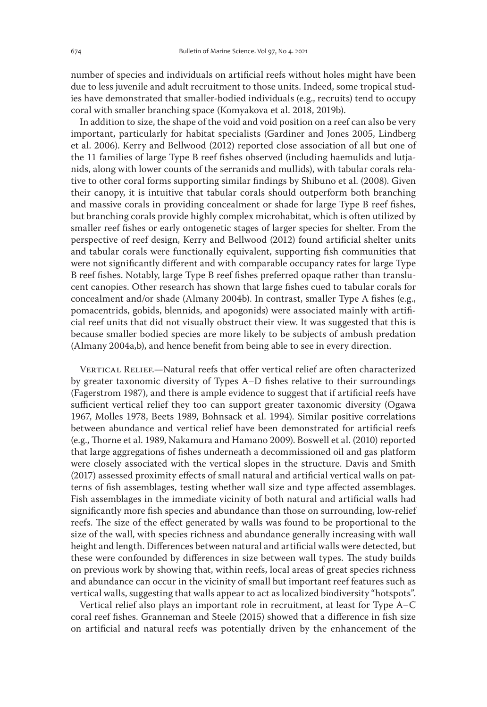number of species and individuals on artificial reefs without holes might have been due to less juvenile and adult recruitment to those units. Indeed, some tropical studies have demonstrated that smaller-bodied individuals (e.g., recruits) tend to occupy coral with smaller branching space (Komyakova et al. 2018, 2019b).

In addition to size, the shape of the void and void position on a reef can also be very important, particularly for habitat specialists (Gardiner and Jones 2005, Lindberg et al. 2006). Kerry and Bellwood (2012) reported close association of all but one of the 11 families of large Type B reef fishes observed (including haemulids and lutjanids, along with lower counts of the serranids and mullids), with tabular corals relative to other coral forms supporting similar findings by Shibuno et al. (2008). Given their canopy, it is intuitive that tabular corals should outperform both branching and massive corals in providing concealment or shade for large Type B reef fishes, but branching corals provide highly complex microhabitat, which is often utilized by smaller reef fishes or early ontogenetic stages of larger species for shelter. From the perspective of reef design, Kerry and Bellwood (2012) found artificial shelter units and tabular corals were functionally equivalent, supporting fish communities that were not significantly different and with comparable occupancy rates for large Type B reef fishes. Notably, large Type B reef fishes preferred opaque rather than translucent canopies. Other research has shown that large fishes cued to tabular corals for concealment and/or shade (Almany 2004b). In contrast, smaller Type A fishes (e.g., pomacentrids, gobids, blennids, and apogonids) were associated mainly with artificial reef units that did not visually obstruct their view. It was suggested that this is because smaller bodied species are more likely to be subjects of ambush predation (Almany 2004a,b), and hence benefit from being able to see in every direction.

VERTICAL RELIEF.-Natural reefs that offer vertical relief are often characterized by greater taxonomic diversity of Types A–D fishes relative to their surroundings (Fagerstrom 1987), and there is ample evidence to suggest that if artificial reefs have sufficient vertical relief they too can support greater taxonomic diversity (Ogawa 1967, Molles 1978, Beets 1989, Bohnsack et al. 1994). Similar positive correlations between abundance and vertical relief have been demonstrated for artificial reefs (e.g., Thorne et al. 1989, Nakamura and Hamano 2009). Boswell et al. (2010) reported that large aggregations of fishes underneath a decommissioned oil and gas platform were closely associated with the vertical slopes in the structure. Davis and Smith (2017) assessed proximity effects of small natural and artificial vertical walls on patterns of fish assemblages, testing whether wall size and type affected assemblages. Fish assemblages in the immediate vicinity of both natural and artificial walls had significantly more fish species and abundance than those on surrounding, low-relief reefs. The size of the effect generated by walls was found to be proportional to the size of the wall, with species richness and abundance generally increasing with wall height and length. Differences between natural and artificial walls were detected, but these were confounded by differences in size between wall types. The study builds on previous work by showing that, within reefs, local areas of great species richness and abundance can occur in the vicinity of small but important reef features such as vertical walls, suggesting that walls appear to act as localized biodiversity "hotspots".

Vertical relief also plays an important role in recruitment, at least for Type A–C coral reef fishes. Granneman and Steele (2015) showed that a difference in fish size on artificial and natural reefs was potentially driven by the enhancement of the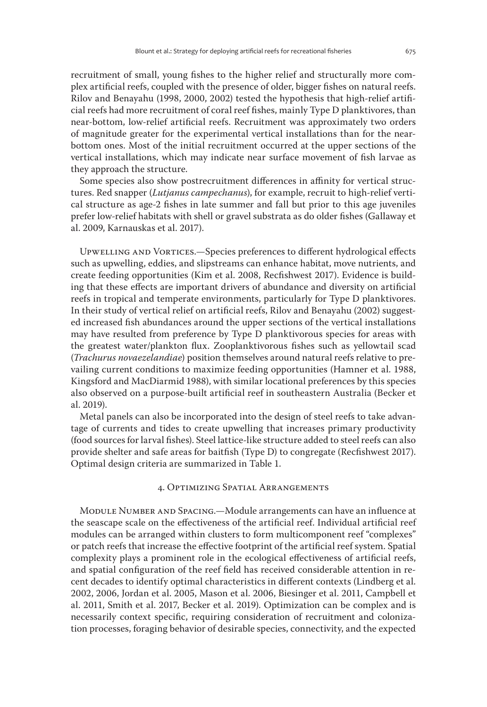recruitment of small, young fishes to the higher relief and structurally more complex artificial reefs, coupled with the presence of older, bigger fishes on natural reefs. Rilov and Benayahu (1998, 2000, 2002) tested the hypothesis that high-relief artificial reefs had more recruitment of coral reef fishes, mainly Type D planktivores, than near-bottom, low-relief artificial reefs. Recruitment was approximately two orders of magnitude greater for the experimental vertical installations than for the nearbottom ones. Most of the initial recruitment occurred at the upper sections of the vertical installations, which may indicate near surface movement of fish larvae as they approach the structure.

Some species also show postrecruitment differences in affinity for vertical structures. Red snapper (*Lutjanus campechanus*), for example, recruit to high-relief vertical structure as age-2 fishes in late summer and fall but prior to this age juveniles prefer low-relief habitats with shell or gravel substrata as do older fishes (Gallaway et al. 2009, Karnauskas et al. 2017).

Upwelling and Vortices.—Species preferences to different hydrological effects such as upwelling, eddies, and slipstreams can enhance habitat, move nutrients, and create feeding opportunities (Kim et al. 2008, Recfishwest 2017). Evidence is building that these effects are important drivers of abundance and diversity on artificial reefs in tropical and temperate environments, particularly for Type D planktivores. In their study of vertical relief on artificial reefs, Rilov and Benayahu (2002) suggested increased fish abundances around the upper sections of the vertical installations may have resulted from preference by Type D planktivorous species for areas with the greatest water/plankton flux. Zooplanktivorous fishes such as yellowtail scad (*Trachurus novaezelandiae*) position themselves around natural reefs relative to prevailing current conditions to maximize feeding opportunities (Hamner et al. 1988, Kingsford and MacDiarmid 1988), with similar locational preferences by this species also observed on a purpose-built artificial reef in southeastern Australia (Becker et al. 2019).

Metal panels can also be incorporated into the design of steel reefs to take advantage of currents and tides to create upwelling that increases primary productivity (food sources for larval fishes). Steel lattice-like structure added to steel reefs can also provide shelter and safe areas for baitfish (Type D) to congregate (Recfishwest 2017). Optimal design criteria are summarized in Table 1.

## 4. Optimizing Spatial Arrangements

MODULE NUMBER AND SPACING.—Module arrangements can have an influence at the seascape scale on the effectiveness of the artificial reef. Individual artificial reef modules can be arranged within clusters to form multicomponent reef "complexes" or patch reefs that increase the effective footprint of the artificial reef system. Spatial complexity plays a prominent role in the ecological effectiveness of artificial reefs, and spatial configuration of the reef field has received considerable attention in recent decades to identify optimal characteristics in different contexts (Lindberg et al. 2002, 2006, Jordan et al. 2005, Mason et al. 2006, Biesinger et al. 2011, Campbell et al. 2011, Smith et al. 2017, Becker et al. 2019). Optimization can be complex and is necessarily context specific, requiring consideration of recruitment and colonization processes, foraging behavior of desirable species, connectivity, and the expected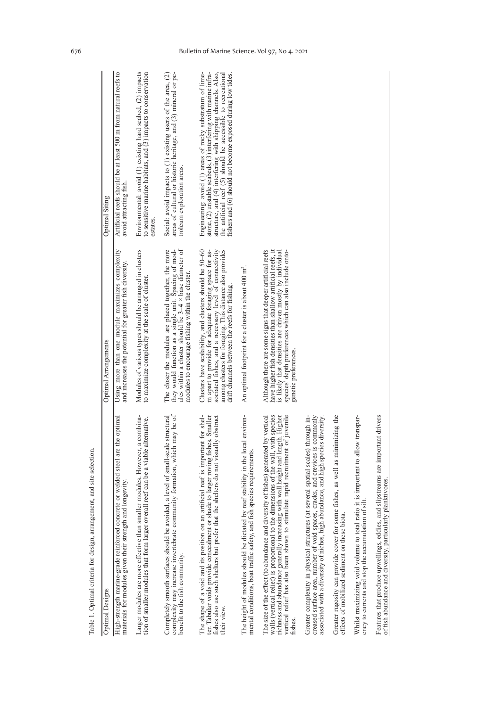| Table 1. Optimal criteria for design, arrangement, and site selection.                                                                                                                                                                                                                                                                                     |                                                                                                                                                                                                                                                                                     |                                                                                                                                                                                                                                                                                                                              |
|------------------------------------------------------------------------------------------------------------------------------------------------------------------------------------------------------------------------------------------------------------------------------------------------------------------------------------------------------------|-------------------------------------------------------------------------------------------------------------------------------------------------------------------------------------------------------------------------------------------------------------------------------------|------------------------------------------------------------------------------------------------------------------------------------------------------------------------------------------------------------------------------------------------------------------------------------------------------------------------------|
| <b>Optimal Designs</b>                                                                                                                                                                                                                                                                                                                                     | Optimal Arrangements                                                                                                                                                                                                                                                                | <b>Optimal Siting</b>                                                                                                                                                                                                                                                                                                        |
| High-strength marine-grade reinforced concrete or welded steel are the optimal<br>materials for modules given their strength and longevity.                                                                                                                                                                                                                | Using more than one module maximizes complexity<br>and increases the potential for greater fish diversity.                                                                                                                                                                          | Artificial reefs should be at least 500 m from natural reefs to<br>avoid attracting fish.                                                                                                                                                                                                                                    |
| Larger modules are more effective than smaller modules. However, a combina-<br>tion of smaller modules that form larger overall reef can be a viable alternative.                                                                                                                                                                                          | Modules of various types should be arranged in clusters<br>to maximize complexity at the scale of cluster.                                                                                                                                                                          | Environmental: avoid (1) existing hard seabed, (2) impacts<br>to sensitive marine habitats, and (3) impacts to conservation<br>estates.                                                                                                                                                                                      |
| complexity may increase invertebrate community formation, which may be of<br>Completely smooth surfaces should be avoided, a level of small-scale structural<br>benefit to the fish community.                                                                                                                                                             | ules within a cluster should be $3-4 \times$ base diameter of<br>The closer the modules are placed together, the more<br>they would function as a single unit. Spacing of mod-<br>modules to encourage fishing within the cluster.                                                  | areas of cultural or historic heritage, and (3) mineral or pe-<br>Social: avoid impacts to (1) existing users of the area, (2)<br>troleum exploration areas.                                                                                                                                                                 |
| The shape of a void and its position on an artificial reef is important for shel-<br>ade to larger roving fishes. Smaller<br>fishes also use such shelters but prefer that the shelters do not visually obstruct<br>ter. Tabular voids provide concealment or sha<br>their view.                                                                           | Clusters have scalability, and clusters should be 50-60<br>m apart to provide for adequate foraging space for associated fishes, and a necessary level of connectivity<br>among clusters for foraging. This distance also provides<br>drift channels between the reefs for fishing. | Engineering: avoid (1) areas of rocky substratum of lime-<br>stone, (2) unstable seabeds, (3) interfering with marine infra-<br>structure, and $(4)$ interfering with shipping channels. Also, the artificial reef $(5)$ should be accessible to recreational<br>fishers and (6) should not become exposed during low tides. |
| reef stability in the local environ-<br>species requirements<br>The height of modules should be dictated by<br>mental conditions, boat traffic safety, and fish                                                                                                                                                                                            | An optimal footprint for a cluster is about 400 m <sup>2</sup> .                                                                                                                                                                                                                    |                                                                                                                                                                                                                                                                                                                              |
| The size of the effect (to abundance and diversity of fishes) generated by vertical<br>walls (vertical relief) is proportional to the dimensions of the wall, with species<br>richness and abundance generally increasing with wall height and length. Higher<br>vertical relief has also been shown to stimulate rapid recruitment of juvenile<br>fishes. | Although there are some signs that deeper artificial reefs<br>have higher fish densities than shallow artificial reefs, it<br>is likely that densities are driven mostly by individual<br>species' depth preferences which can also include onto-<br>genetic preferences.           |                                                                                                                                                                                                                                                                                                                              |
| cracks, and crevices is commonly<br>several spatial scales) through in-<br>associated with a diversity of niches, high abundance, and high species diversity.<br>Greater complexity in physical structures (at<br>creased surface area, number of void spaces,                                                                                             |                                                                                                                                                                                                                                                                                     |                                                                                                                                                                                                                                                                                                                              |
| fishes, as well as minimizing the<br>Greater rugosity can provide cover for some<br>effects of mobilized sediment on these biota.                                                                                                                                                                                                                          |                                                                                                                                                                                                                                                                                     |                                                                                                                                                                                                                                                                                                                              |
| Whilst maximizing void volume to total ratio it is important to allow transpar-<br>$s$ ilt<br>ency to currents and stop the accumulation of                                                                                                                                                                                                                |                                                                                                                                                                                                                                                                                     |                                                                                                                                                                                                                                                                                                                              |
| Features that produce upwellings, eddies, and slipstreams are important drivers<br>of fish abundance and diversity, particularly planktivores                                                                                                                                                                                                              |                                                                                                                                                                                                                                                                                     |                                                                                                                                                                                                                                                                                                                              |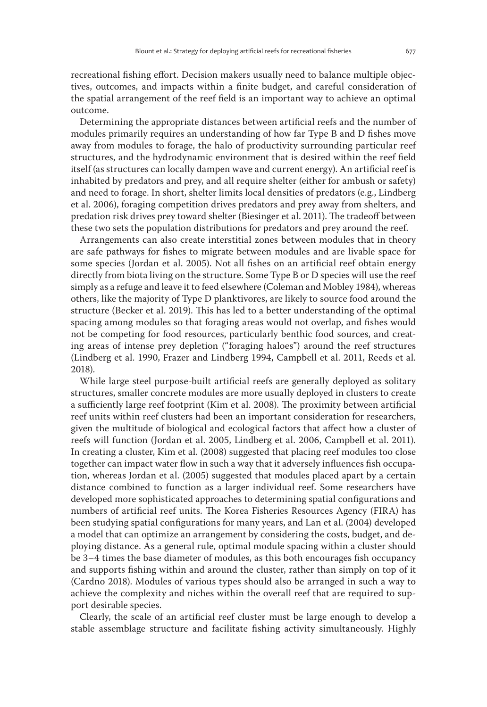recreational fishing effort. Decision makers usually need to balance multiple objectives, outcomes, and impacts within a finite budget, and careful consideration of the spatial arrangement of the reef field is an important way to achieve an optimal outcome.

Determining the appropriate distances between artificial reefs and the number of modules primarily requires an understanding of how far Type B and D fishes move away from modules to forage, the halo of productivity surrounding particular reef structures, and the hydrodynamic environment that is desired within the reef field itself (as structures can locally dampen wave and current energy). An artificial reef is inhabited by predators and prey, and all require shelter (either for ambush or safety) and need to forage. In short, shelter limits local densities of predators (e.g., Lindberg et al. 2006), foraging competition drives predators and prey away from shelters, and predation risk drives prey toward shelter (Biesinger et al. 2011). The tradeoff between these two sets the population distributions for predators and prey around the reef.

Arrangements can also create interstitial zones between modules that in theory are safe pathways for fishes to migrate between modules and are livable space for some species (Jordan et al. 2005). Not all fishes on an artificial reef obtain energy directly from biota living on the structure. Some Type B or D species will use the reef simply as a refuge and leave it to feed elsewhere (Coleman and Mobley 1984), whereas others, like the majority of Type D planktivores, are likely to source food around the structure (Becker et al. 2019). This has led to a better understanding of the optimal spacing among modules so that foraging areas would not overlap, and fishes would not be competing for food resources, particularly benthic food sources, and creating areas of intense prey depletion ("foraging haloes") around the reef structures (Lindberg et al. 1990, Frazer and Lindberg 1994, Campbell et al. 2011, Reeds et al. 2018).

While large steel purpose-built artificial reefs are generally deployed as solitary structures, smaller concrete modules are more usually deployed in clusters to create a sufficiently large reef footprint (Kim et al. 2008). The proximity between artificial reef units within reef clusters had been an important consideration for researchers, given the multitude of biological and ecological factors that affect how a cluster of reefs will function (Jordan et al. 2005, Lindberg et al. 2006, Campbell et al. 2011). In creating a cluster, Kim et al. (2008) suggested that placing reef modules too close together can impact water flow in such a way that it adversely influences fish occupation, whereas Jordan et al. (2005) suggested that modules placed apart by a certain distance combined to function as a larger individual reef. Some researchers have developed more sophisticated approaches to determining spatial configurations and numbers of artificial reef units. The Korea Fisheries Resources Agency (FIRA) has been studying spatial configurations for many years, and Lan et al. (2004) developed a model that can optimize an arrangement by considering the costs, budget, and deploying distance. As a general rule, optimal module spacing within a cluster should be 3–4 times the base diameter of modules, as this both encourages fish occupancy and supports fishing within and around the cluster, rather than simply on top of it (Cardno 2018). Modules of various types should also be arranged in such a way to achieve the complexity and niches within the overall reef that are required to support desirable species.

Clearly, the scale of an artificial reef cluster must be large enough to develop a stable assemblage structure and facilitate fishing activity simultaneously. Highly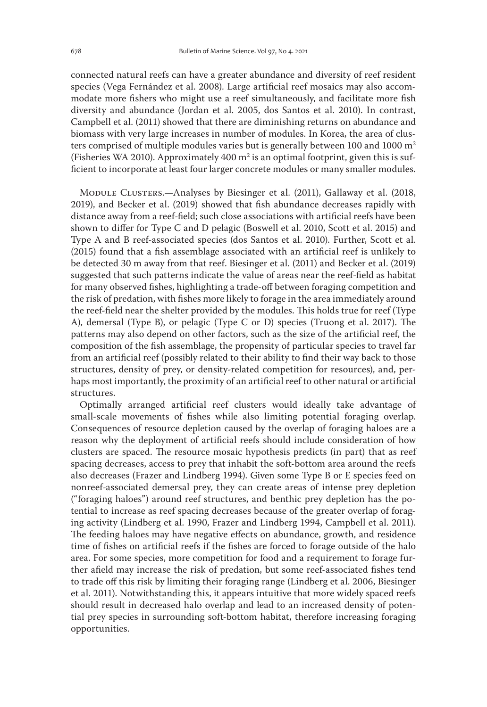connected natural reefs can have a greater abundance and diversity of reef resident species (Vega Fernández et al. 2008). Large artificial reef mosaics may also accommodate more fishers who might use a reef simultaneously, and facilitate more fish diversity and abundance (Jordan et al. 2005, dos Santos et al. 2010). In contrast, Campbell et al. (2011) showed that there are diminishing returns on abundance and biomass with very large increases in number of modules. In Korea, the area of clusters comprised of multiple modules varies but is generally between 100 and 1000  $m<sup>2</sup>$ (Fisheries WA 2010). Approximately  $400\,\mathrm{m}^2$  is an optimal footprint, given this is sufficient to incorporate at least four larger concrete modules or many smaller modules.

MODULE CLUSTERS.—Analyses by Biesinger et al. (2011), Gallaway et al. (2018, 2019), and Becker et al. (2019) showed that fish abundance decreases rapidly with distance away from a reef-field; such close associations with artificial reefs have been shown to differ for Type C and D pelagic (Boswell et al. 2010, Scott et al. 2015) and Type A and B reef-associated species (dos Santos et al. 2010). Further, Scott et al. (2015) found that a fish assemblage associated with an artificial reef is unlikely to be detected 30 m away from that reef. Biesinger et al. (2011) and Becker et al. (2019) suggested that such patterns indicate the value of areas near the reef-field as habitat for many observed fishes, highlighting a trade-off between foraging competition and the risk of predation, with fishes more likely to forage in the area immediately around the reef-field near the shelter provided by the modules. This holds true for reef (Type A), demersal (Type B), or pelagic (Type C or D) species (Truong et al. 2017). The patterns may also depend on other factors, such as the size of the artificial reef, the composition of the fish assemblage, the propensity of particular species to travel far from an artificial reef (possibly related to their ability to find their way back to those structures, density of prey, or density-related competition for resources), and, perhaps most importantly, the proximity of an artificial reef to other natural or artificial structures.

Optimally arranged artificial reef clusters would ideally take advantage of small-scale movements of fishes while also limiting potential foraging overlap. Consequences of resource depletion caused by the overlap of foraging haloes are a reason why the deployment of artificial reefs should include consideration of how clusters are spaced. The resource mosaic hypothesis predicts (in part) that as reef spacing decreases, access to prey that inhabit the soft-bottom area around the reefs also decreases (Frazer and Lindberg 1994). Given some Type B or E species feed on nonreef-associated demersal prey, they can create areas of intense prey depletion ("foraging haloes") around reef structures, and benthic prey depletion has the potential to increase as reef spacing decreases because of the greater overlap of foraging activity (Lindberg et al. 1990, Frazer and Lindberg 1994, Campbell et al. 2011). The feeding haloes may have negative effects on abundance, growth, and residence time of fishes on artificial reefs if the fishes are forced to forage outside of the halo area. For some species, more competition for food and a requirement to forage further afield may increase the risk of predation, but some reef-associated fishes tend to trade off this risk by limiting their foraging range (Lindberg et al. 2006, Biesinger et al. 2011). Notwithstanding this, it appears intuitive that more widely spaced reefs should result in decreased halo overlap and lead to an increased density of potential prey species in surrounding soft-bottom habitat, therefore increasing foraging opportunities.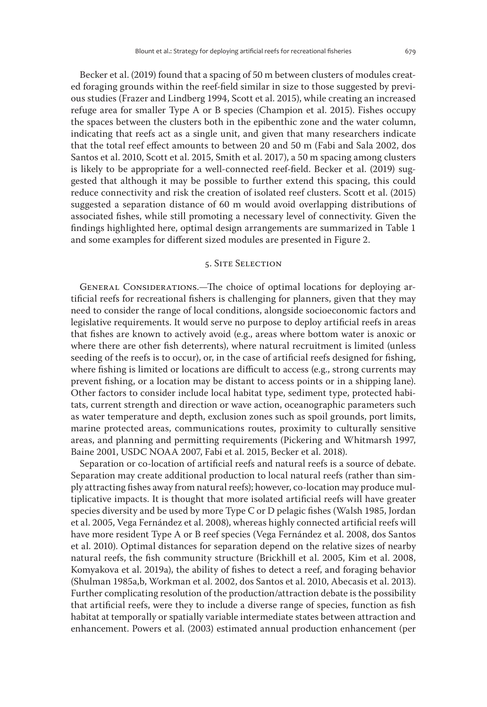Becker et al. (2019) found that a spacing of 50 m between clusters of modules created foraging grounds within the reef-field similar in size to those suggested by previous studies (Frazer and Lindberg 1994, Scott et al. 2015), while creating an increased refuge area for smaller Type A or B species (Champion et al. 2015). Fishes occupy the spaces between the clusters both in the epibenthic zone and the water column, indicating that reefs act as a single unit, and given that many researchers indicate that the total reef effect amounts to between 20 and 50 m (Fabi and Sala 2002, dos Santos et al. 2010, Scott et al. 2015, Smith et al. 2017), a 50 m spacing among clusters is likely to be appropriate for a well-connected reef-field. Becker et al. (2019) suggested that although it may be possible to further extend this spacing, this could reduce connectivity and risk the creation of isolated reef clusters. Scott et al. (2015) suggested a separation distance of 60 m would avoid overlapping distributions of associated fishes, while still promoting a necessary level of connectivity. Given the findings highlighted here, optimal design arrangements are summarized in Table 1 and some examples for different sized modules are presented in Figure 2.

## 5. Site Selection

GENERAL CONSIDERATIONS.—The choice of optimal locations for deploying artificial reefs for recreational fishers is challenging for planners, given that they may need to consider the range of local conditions, alongside socioeconomic factors and legislative requirements. It would serve no purpose to deploy artificial reefs in areas that fishes are known to actively avoid (e.g., areas where bottom water is anoxic or where there are other fish deterrents), where natural recruitment is limited (unless seeding of the reefs is to occur), or, in the case of artificial reefs designed for fishing, where fishing is limited or locations are difficult to access (e.g., strong currents may prevent fishing, or a location may be distant to access points or in a shipping lane). Other factors to consider include local habitat type, sediment type, protected habitats, current strength and direction or wave action, oceanographic parameters such as water temperature and depth, exclusion zones such as spoil grounds, port limits, marine protected areas, communications routes, proximity to culturally sensitive areas, and planning and permitting requirements (Pickering and Whitmarsh 1997, Baine 2001, USDC NOAA 2007, Fabi et al. 2015, Becker et al. 2018).

Separation or co-location of artificial reefs and natural reefs is a source of debate. Separation may create additional production to local natural reefs (rather than simply attracting fishes away from natural reefs); however, co-location may produce multiplicative impacts. It is thought that more isolated artificial reefs will have greater species diversity and be used by more Type C or D pelagic fishes (Walsh 1985, Jordan et al. 2005, Vega Fernández et al. 2008), whereas highly connected artificial reefs will have more resident Type A or B reef species (Vega Fernández et al. 2008, dos Santos et al. 2010). Optimal distances for separation depend on the relative sizes of nearby natural reefs, the fish community structure (Brickhill et al. 2005, Kim et al. 2008, Komyakova et al. 2019a), the ability of fishes to detect a reef, and foraging behavior (Shulman 1985a,b, Workman et al. 2002, dos Santos et al. 2010, Abecasis et al. 2013). Further complicating resolution of the production/attraction debate is the possibility that artificial reefs, were they to include a diverse range of species, function as fish habitat at temporally or spatially variable intermediate states between attraction and enhancement. Powers et al. (2003) estimated annual production enhancement (per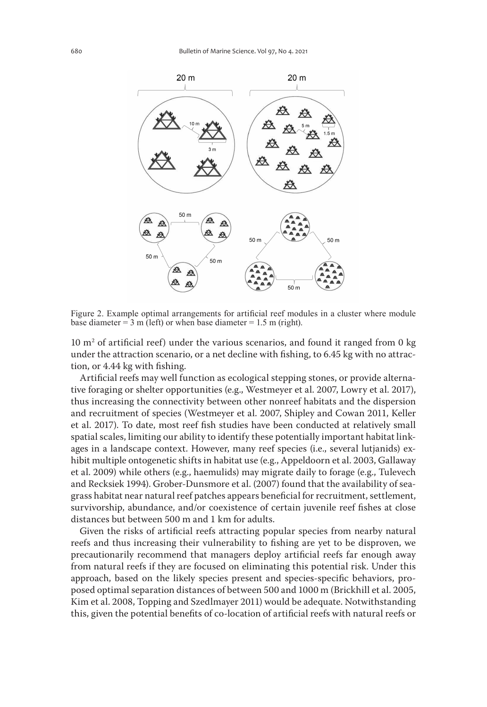

Figure 2. Example optimal arrangements for artificial reef modules in a cluster where module base diameter =  $3 \text{ m}$  (left) or when base diameter = 1.5 m (right).

10 m2 of artificial reef) under the various scenarios, and found it ranged from 0 kg under the attraction scenario, or a net decline with fishing, to 6.45 kg with no attraction, or 4.44 kg with fishing.

Artificial reefs may well function as ecological stepping stones, or provide alternative foraging or shelter opportunities (e.g., Westmeyer et al. 2007, Lowry et al. 2017), thus increasing the connectivity between other nonreef habitats and the dispersion and recruitment of species (Westmeyer et al. 2007, Shipley and Cowan 2011, Keller et al. 2017). To date, most reef fish studies have been conducted at relatively small spatial scales, limiting our ability to identify these potentially important habitat linkages in a landscape context. However, many reef species (i.e., several lutjanids) exhibit multiple ontogenetic shifts in habitat use (e.g., Appeldoorn et al. 2003, Gallaway et al. 2009) while others (e.g., haemulids) may migrate daily to forage (e.g., Tulevech and Recksiek 1994). Grober-Dunsmore et al. (2007) found that the availability of seagrass habitat near natural reef patches appears beneficial for recruitment, settlement, survivorship, abundance, and/or coexistence of certain juvenile reef fishes at close distances but between 500 m and 1 km for adults.

Given the risks of artificial reefs attracting popular species from nearby natural reefs and thus increasing their vulnerability to fishing are yet to be disproven, we precautionarily recommend that managers deploy artificial reefs far enough away from natural reefs if they are focused on eliminating this potential risk. Under this approach, based on the likely species present and species-specific behaviors, proposed optimal separation distances of between 500 and 1000 m (Brickhill et al. 2005, Kim et al. 2008, Topping and Szedlmayer 2011) would be adequate. Notwithstanding this, given the potential benefits of co-location of artificial reefs with natural reefs or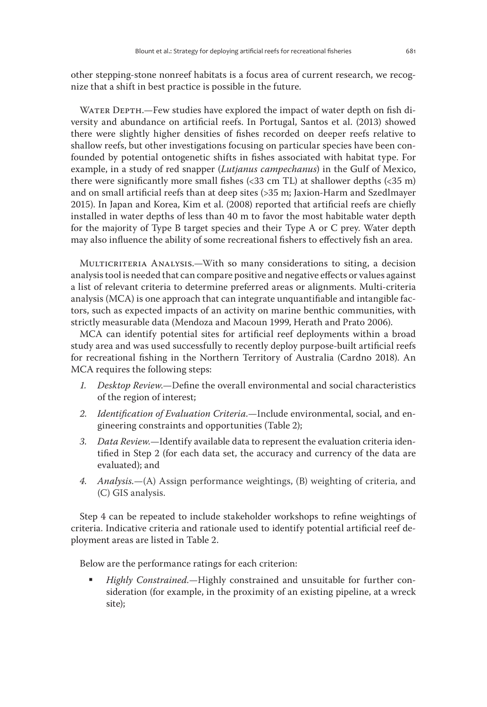other stepping-stone nonreef habitats is a focus area of current research, we recognize that a shift in best practice is possible in the future.

WATER DEPTH.—Few studies have explored the impact of water depth on fish diversity and abundance on artificial reefs. In Portugal, Santos et al. (2013) showed there were slightly higher densities of fishes recorded on deeper reefs relative to shallow reefs, but other investigations focusing on particular species have been confounded by potential ontogenetic shifts in fishes associated with habitat type. For example, in a study of red snapper (*Lutjanus campechanus*) in the Gulf of Mexico, there were significantly more small fishes (<33 cm TL) at shallower depths (<35 m) and on small artificial reefs than at deep sites (>35 m; Jaxion-Harm and Szedlmayer 2015). In Japan and Korea, Kim et al. (2008) reported that artificial reefs are chiefly installed in water depths of less than 40 m to favor the most habitable water depth for the majority of Type B target species and their Type A or C prey. Water depth may also influence the ability of some recreational fishers to effectively fish an area.

MULTICRITERIA ANALYSIS.—With so many considerations to siting, a decision analysis tool is needed that can compare positive and negative effects or values against a list of relevant criteria to determine preferred areas or alignments. Multi-criteria analysis (MCA) is one approach that can integrate unquantifiable and intangible factors, such as expected impacts of an activity on marine benthic communities, with strictly measurable data (Mendoza and Macoun 1999, Herath and Prato 2006).

MCA can identify potential sites for artificial reef deployments within a broad study area and was used successfully to recently deploy purpose-built artificial reefs for recreational fishing in the Northern Territory of Australia (Cardno 2018). An MCA requires the following steps:

- *1. Desktop Review*.—Define the overall environmental and social characteristics of the region of interest;
- *2. Identification of Evaluation Criteria.*—Include environmental, social, and engineering constraints and opportunities (Table 2);
- *3. Data Review.*—Identify available data to represent the evaluation criteria identified in Step 2 (for each data set, the accuracy and currency of the data are evaluated); and
- *4. Analysis.*—(A) Assign performance weightings, (B) weighting of criteria, and (C) GIS analysis.

Step 4 can be repeated to include stakeholder workshops to refine weightings of criteria. Indicative criteria and rationale used to identify potential artificial reef deployment areas are listed in Table 2.

Below are the performance ratings for each criterion:

 *Highly Constrained.—*Highly constrained and unsuitable for further consideration (for example, in the proximity of an existing pipeline, at a wreck site);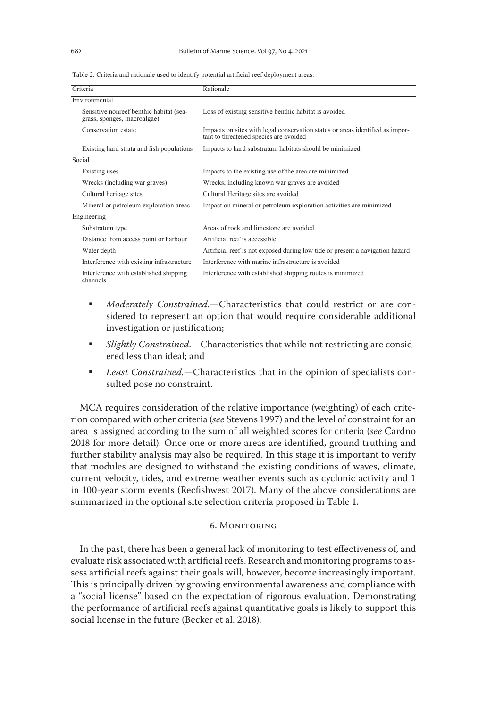Table 2. Criteria and rationale used to identify potential artificial reef deployment areas.

| Criteria                                                               | Rationale                                                                                                               |
|------------------------------------------------------------------------|-------------------------------------------------------------------------------------------------------------------------|
| Environmental                                                          |                                                                                                                         |
| Sensitive nonreef benthic habitat (sea-<br>grass, sponges, macroalgae) | Loss of existing sensitive benthic habitat is avoided                                                                   |
| Conservation estate                                                    | Impacts on sites with legal conservation status or areas identified as impor-<br>tant to threatened species are avoided |
| Existing hard strata and fish populations                              | Impacts to hard substratum habitats should be minimized                                                                 |
| Social                                                                 |                                                                                                                         |
| Existing uses                                                          | Impacts to the existing use of the area are minimized                                                                   |
| Wrecks (including war graves)                                          | Wrecks, including known war graves are avoided                                                                          |
| Cultural heritage sites                                                | Cultural Heritage sites are avoided                                                                                     |
| Mineral or petroleum exploration areas                                 | Impact on mineral or petroleum exploration activities are minimized                                                     |
| Engineering                                                            |                                                                                                                         |
| Substratum type                                                        | Areas of rock and limestone are avoided                                                                                 |
| Distance from access point or harbour                                  | Artificial reef is accessible                                                                                           |
| Water depth                                                            | Artificial reef is not exposed during low tide or present a navigation hazard                                           |
| Interference with existing infrastructure                              | Interference with marine infrastructure is avoided                                                                      |
| Interference with established shipping<br>channels                     | Interference with established shipping routes is minimized                                                              |

- *Moderately Constrained.—*Characteristics that could restrict or are considered to represent an option that would require considerable additional investigation or justification;
- *Slightly Constrained.—*Characteristics that while not restricting are considered less than ideal; and
- *Least Constrained.—*Characteristics that in the opinion of specialists consulted pose no constraint.

MCA requires consideration of the relative importance (weighting) of each criterion compared with other criteria (*see* Stevens 1997) and the level of constraint for an area is assigned according to the sum of all weighted scores for criteria (*see* Cardno 2018 for more detail). Once one or more areas are identified, ground truthing and further stability analysis may also be required. In this stage it is important to verify that modules are designed to withstand the existing conditions of waves, climate, current velocity, tides, and extreme weather events such as cyclonic activity and 1 in 100-year storm events (Recfishwest 2017). Many of the above considerations are summarized in the optional site selection criteria proposed in Table 1.

#### 6. Monitoring

In the past, there has been a general lack of monitoring to test effectiveness of, and evaluate risk associated with artificial reefs. Research and monitoring programs to assess artificial reefs against their goals will, however, become increasingly important. This is principally driven by growing environmental awareness and compliance with a "social license" based on the expectation of rigorous evaluation. Demonstrating the performance of artificial reefs against quantitative goals is likely to support this social license in the future (Becker et al. 2018).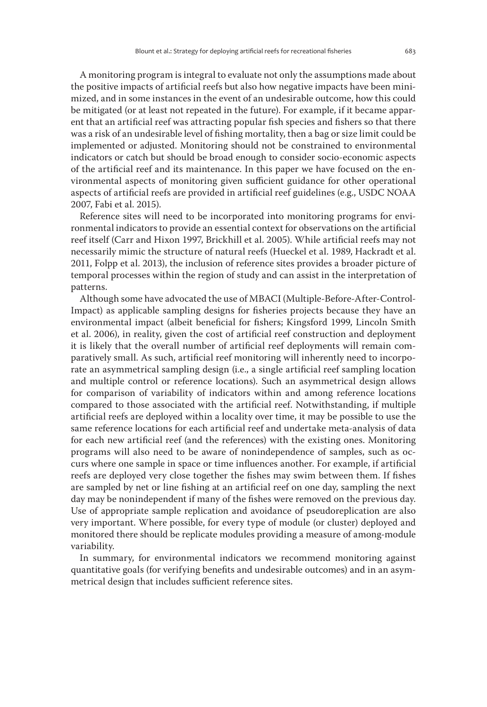A monitoring program is integral to evaluate not only the assumptions made about the positive impacts of artificial reefs but also how negative impacts have been minimized, and in some instances in the event of an undesirable outcome, how this could be mitigated (or at least not repeated in the future). For example, if it became apparent that an artificial reef was attracting popular fish species and fishers so that there was a risk of an undesirable level of fishing mortality, then a bag or size limit could be implemented or adjusted. Monitoring should not be constrained to environmental indicators or catch but should be broad enough to consider socio-economic aspects of the artificial reef and its maintenance. In this paper we have focused on the environmental aspects of monitoring given sufficient guidance for other operational aspects of artificial reefs are provided in artificial reef guidelines (e.g., USDC NOAA 2007, Fabi et al. 2015).

Reference sites will need to be incorporated into monitoring programs for environmental indicators to provide an essential context for observations on the artificial reef itself (Carr and Hixon 1997, Brickhill et al. 2005). While artificial reefs may not necessarily mimic the structure of natural reefs (Hueckel et al. 1989, Hackradt et al. 2011, Folpp et al. 2013), the inclusion of reference sites provides a broader picture of temporal processes within the region of study and can assist in the interpretation of patterns.

Although some have advocated the use of MBACI (Multiple-Before-After-Control-Impact) as applicable sampling designs for fisheries projects because they have an environmental impact (albeit beneficial for fishers; Kingsford 1999, Lincoln Smith et al. 2006), in reality, given the cost of artificial reef construction and deployment it is likely that the overall number of artificial reef deployments will remain comparatively small. As such, artificial reef monitoring will inherently need to incorporate an asymmetrical sampling design (i.e., a single artificial reef sampling location and multiple control or reference locations). Such an asymmetrical design allows for comparison of variability of indicators within and among reference locations compared to those associated with the artificial reef. Notwithstanding, if multiple artificial reefs are deployed within a locality over time, it may be possible to use the same reference locations for each artificial reef and undertake meta-analysis of data for each new artificial reef (and the references) with the existing ones. Monitoring programs will also need to be aware of nonindependence of samples, such as occurs where one sample in space or time influences another. For example, if artificial reefs are deployed very close together the fishes may swim between them. If fishes are sampled by net or line fishing at an artificial reef on one day, sampling the next day may be nonindependent if many of the fishes were removed on the previous day. Use of appropriate sample replication and avoidance of pseudoreplication are also very important. Where possible, for every type of module (or cluster) deployed and monitored there should be replicate modules providing a measure of among-module variability.

In summary, for environmental indicators we recommend monitoring against quantitative goals (for verifying benefits and undesirable outcomes) and in an asymmetrical design that includes sufficient reference sites.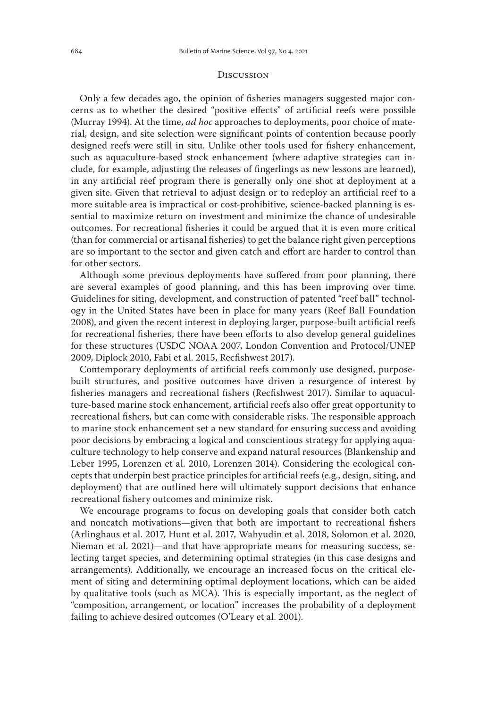#### **DISCUSSION**

Only a few decades ago, the opinion of fisheries managers suggested major concerns as to whether the desired "positive effects" of artificial reefs were possible (Murray 1994). At the time, *ad hoc* approaches to deployments, poor choice of material, design, and site selection were significant points of contention because poorly designed reefs were still in situ. Unlike other tools used for fishery enhancement, such as aquaculture-based stock enhancement (where adaptive strategies can include, for example, adjusting the releases of fingerlings as new lessons are learned), in any artificial reef program there is generally only one shot at deployment at a given site. Given that retrieval to adjust design or to redeploy an artificial reef to a more suitable area is impractical or cost-prohibitive, science-backed planning is essential to maximize return on investment and minimize the chance of undesirable outcomes. For recreational fisheries it could be argued that it is even more critical (than for commercial or artisanal fisheries) to get the balance right given perceptions are so important to the sector and given catch and effort are harder to control than for other sectors.

Although some previous deployments have suffered from poor planning, there are several examples of good planning, and this has been improving over time. Guidelines for siting, development, and construction of patented "reef ball" technology in the United States have been in place for many years (Reef Ball Foundation 2008), and given the recent interest in deploying larger, purpose-built artificial reefs for recreational fisheries, there have been efforts to also develop general guidelines for these structures (USDC NOAA 2007, London Convention and Protocol/UNEP 2009, Diplock 2010, Fabi et al. 2015, Recfishwest 2017).

Contemporary deployments of artificial reefs commonly use designed, purposebuilt structures, and positive outcomes have driven a resurgence of interest by fisheries managers and recreational fishers (Recfishwest 2017). Similar to aquaculture-based marine stock enhancement, artificial reefs also offer great opportunity to recreational fishers, but can come with considerable risks. The responsible approach to marine stock enhancement set a new standard for ensuring success and avoiding poor decisions by embracing a logical and conscientious strategy for applying aquaculture technology to help conserve and expand natural resources (Blankenship and Leber 1995, Lorenzen et al. 2010, Lorenzen 2014). Considering the ecological concepts that underpin best practice principles for artificial reefs (e.g., design, siting, and deployment) that are outlined here will ultimately support decisions that enhance recreational fishery outcomes and minimize risk.

We encourage programs to focus on developing goals that consider both catch and noncatch motivations—given that both are important to recreational fishers (Arlinghaus et al. 2017, Hunt et al. 2017, Wahyudin et al. 2018, Solomon et al. 2020, Nieman et al. 2021)—and that have appropriate means for measuring success, selecting target species, and determining optimal strategies (in this case designs and arrangements). Additionally, we encourage an increased focus on the critical element of siting and determining optimal deployment locations, which can be aided by qualitative tools (such as MCA). This is especially important, as the neglect of "composition, arrangement, or location" increases the probability of a deployment failing to achieve desired outcomes (O'Leary et al. 2001).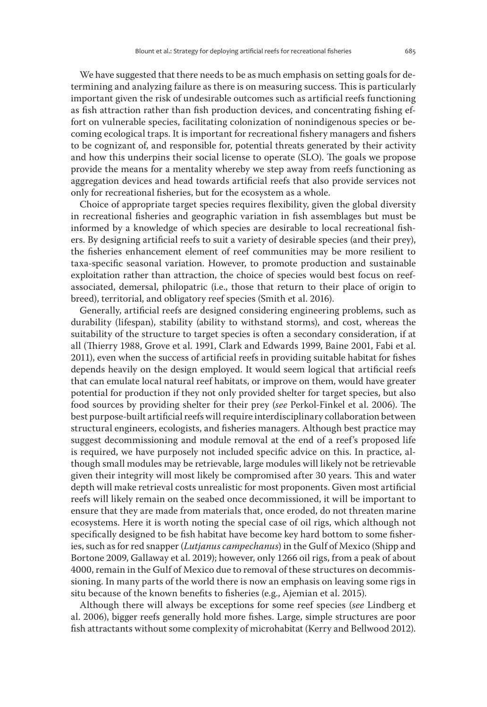We have suggested that there needs to be as much emphasis on setting goals for determining and analyzing failure as there is on measuring success. This is particularly important given the risk of undesirable outcomes such as artificial reefs functioning as fish attraction rather than fish production devices, and concentrating fishing effort on vulnerable species, facilitating colonization of nonindigenous species or becoming ecological traps. It is important for recreational fishery managers and fishers to be cognizant of, and responsible for, potential threats generated by their activity and how this underpins their social license to operate (SLO). The goals we propose provide the means for a mentality whereby we step away from reefs functioning as aggregation devices and head towards artificial reefs that also provide services not only for recreational fisheries, but for the ecosystem as a whole.

Choice of appropriate target species requires flexibility, given the global diversity in recreational fisheries and geographic variation in fish assemblages but must be informed by a knowledge of which species are desirable to local recreational fishers. By designing artificial reefs to suit a variety of desirable species (and their prey), the fisheries enhancement element of reef communities may be more resilient to taxa-specific seasonal variation. However, to promote production and sustainable exploitation rather than attraction, the choice of species would best focus on reefassociated, demersal, philopatric (i.e., those that return to their place of origin to breed), territorial, and obligatory reef species (Smith et al. 2016).

Generally, artificial reefs are designed considering engineering problems, such as durability (lifespan), stability (ability to withstand storms), and cost, whereas the suitability of the structure to target species is often a secondary consideration, if at all (Thierry 1988, Grove et al. 1991, Clark and Edwards 1999, Baine 2001, Fabi et al. 2011), even when the success of artificial reefs in providing suitable habitat for fishes depends heavily on the design employed. It would seem logical that artificial reefs that can emulate local natural reef habitats, or improve on them, would have greater potential for production if they not only provided shelter for target species, but also food sources by providing shelter for their prey (*see* Perkol-Finkel et al. 2006). The best purpose-built artificial reefs will require interdisciplinary collaboration between structural engineers, ecologists, and fisheries managers. Although best practice may suggest decommissioning and module removal at the end of a reef's proposed life is required, we have purposely not included specific advice on this. In practice, although small modules may be retrievable, large modules will likely not be retrievable given their integrity will most likely be compromised after 30 years. This and water depth will make retrieval costs unrealistic for most proponents. Given most artificial reefs will likely remain on the seabed once decommissioned, it will be important to ensure that they are made from materials that, once eroded, do not threaten marine ecosystems. Here it is worth noting the special case of oil rigs, which although not specifically designed to be fish habitat have become key hard bottom to some fisheries, such as for red snapper (*Lutjanus campechanus*) in the Gulf of Mexico (Shipp and Bortone 2009, Gallaway et al. 2019); however, only 1266 oil rigs, from a peak of about 4000, remain in the Gulf of Mexico due to removal of these structures on decommissioning. In many parts of the world there is now an emphasis on leaving some rigs in situ because of the known benefits to fisheries (e.g., Ajemian et al. 2015).

Although there will always be exceptions for some reef species (*see* Lindberg et al. 2006), bigger reefs generally hold more fishes. Large, simple structures are poor fish attractants without some complexity of microhabitat (Kerry and Bellwood 2012).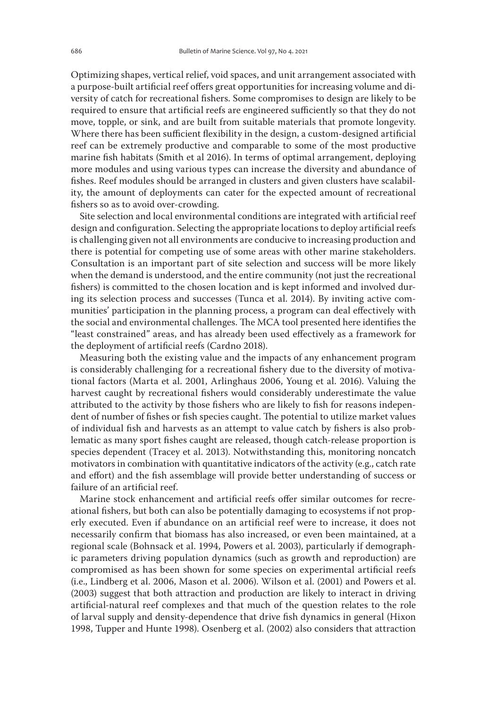Optimizing shapes, vertical relief, void spaces, and unit arrangement associated with a purpose-built artificial reef offers great opportunities for increasing volume and diversity of catch for recreational fishers. Some compromises to design are likely to be required to ensure that artificial reefs are engineered sufficiently so that they do not move, topple, or sink, and are built from suitable materials that promote longevity. Where there has been sufficient flexibility in the design, a custom-designed artificial reef can be extremely productive and comparable to some of the most productive marine fish habitats (Smith et al 2016). In terms of optimal arrangement, deploying more modules and using various types can increase the diversity and abundance of fishes. Reef modules should be arranged in clusters and given clusters have scalability, the amount of deployments can cater for the expected amount of recreational fishers so as to avoid over-crowding.

Site selection and local environmental conditions are integrated with artificial reef design and configuration. Selecting the appropriate locations to deploy artificial reefs is challenging given not all environments are conducive to increasing production and there is potential for competing use of some areas with other marine stakeholders. Consultation is an important part of site selection and success will be more likely when the demand is understood, and the entire community (not just the recreational fishers) is committed to the chosen location and is kept informed and involved during its selection process and successes (Tunca et al. 2014). By inviting active communities' participation in the planning process, a program can deal effectively with the social and environmental challenges. The MCA tool presented here identifies the "least constrained" areas, and has already been used effectively as a framework for the deployment of artificial reefs (Cardno 2018).

Measuring both the existing value and the impacts of any enhancement program is considerably challenging for a recreational fishery due to the diversity of motivational factors (Marta et al. 2001, Arlinghaus 2006, Young et al. 2016). Valuing the harvest caught by recreational fishers would considerably underestimate the value attributed to the activity by those fishers who are likely to fish for reasons independent of number of fishes or fish species caught. The potential to utilize market values of individual fish and harvests as an attempt to value catch by fishers is also problematic as many sport fishes caught are released, though catch-release proportion is species dependent (Tracey et al. 2013). Notwithstanding this, monitoring noncatch motivators in combination with quantitative indicators of the activity (e.g., catch rate and effort) and the fish assemblage will provide better understanding of success or failure of an artificial reef.

Marine stock enhancement and artificial reefs offer similar outcomes for recreational fishers, but both can also be potentially damaging to ecosystems if not properly executed. Even if abundance on an artificial reef were to increase, it does not necessarily confirm that biomass has also increased, or even been maintained, at a regional scale (Bohnsack et al. 1994, Powers et al. 2003), particularly if demographic parameters driving population dynamics (such as growth and reproduction) are compromised as has been shown for some species on experimental artificial reefs (i.e., Lindberg et al. 2006, Mason et al. 2006). Wilson et al. (2001) and Powers et al. (2003) suggest that both attraction and production are likely to interact in driving artificial-natural reef complexes and that much of the question relates to the role of larval supply and density-dependence that drive fish dynamics in general (Hixon 1998, Tupper and Hunte 1998). Osenberg et al. (2002) also considers that attraction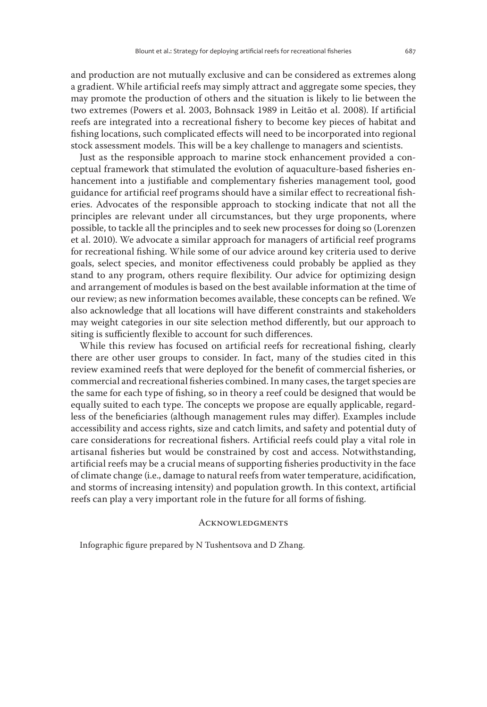and production are not mutually exclusive and can be considered as extremes along a gradient. While artificial reefs may simply attract and aggregate some species, they may promote the production of others and the situation is likely to lie between the two extremes (Powers et al. 2003, Bohnsack 1989 in Leitão et al. 2008). If artificial reefs are integrated into a recreational fishery to become key pieces of habitat and fishing locations, such complicated effects will need to be incorporated into regional stock assessment models. This will be a key challenge to managers and scientists.

Just as the responsible approach to marine stock enhancement provided a conceptual framework that stimulated the evolution of aquaculture-based fisheries enhancement into a justifiable and complementary fisheries management tool, good guidance for artificial reef programs should have a similar effect to recreational fisheries. Advocates of the responsible approach to stocking indicate that not all the principles are relevant under all circumstances, but they urge proponents, where possible, to tackle all the principles and to seek new processes for doing so (Lorenzen et al. 2010). We advocate a similar approach for managers of artificial reef programs for recreational fishing. While some of our advice around key criteria used to derive goals, select species, and monitor effectiveness could probably be applied as they stand to any program, others require flexibility. Our advice for optimizing design and arrangement of modules is based on the best available information at the time of our review; as new information becomes available, these concepts can be refined. We also acknowledge that all locations will have different constraints and stakeholders may weight categories in our site selection method differently, but our approach to siting is sufficiently flexible to account for such differences.

While this review has focused on artificial reefs for recreational fishing, clearly there are other user groups to consider. In fact, many of the studies cited in this review examined reefs that were deployed for the benefit of commercial fisheries, or commercial and recreational fisheries combined. In many cases, the target species are the same for each type of fishing, so in theory a reef could be designed that would be equally suited to each type. The concepts we propose are equally applicable, regardless of the beneficiaries (although management rules may differ). Examples include accessibility and access rights, size and catch limits, and safety and potential duty of care considerations for recreational fishers. Artificial reefs could play a vital role in artisanal fisheries but would be constrained by cost and access. Notwithstanding, artificial reefs may be a crucial means of supporting fisheries productivity in the face of climate change (i.e., damage to natural reefs from water temperature, acidification, and storms of increasing intensity) and population growth. In this context, artificial reefs can play a very important role in the future for all forms of fishing.

#### **ACKNOWLEDGMENTS**

Infographic figure prepared by N Tushentsova and D Zhang.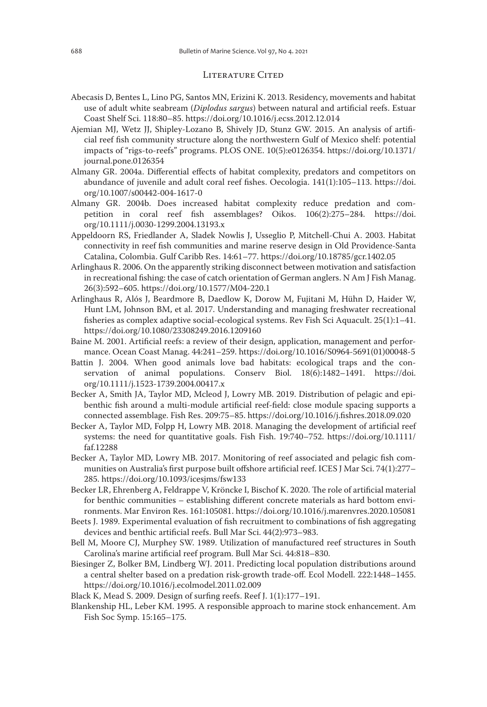#### LITERATURE CITED

- Abecasis D, Bentes L, Lino PG, Santos MN, Erizini K. 2013. Residency, movements and habitat use of adult white seabream (*Diplodus sargus*) between natural and artificial reefs. Estuar Coast Shelf Sci. 118:80–85. https://doi.org/10.1016/j.ecss.2012.12.014
- Ajemian MJ, Wetz JJ, Shipley-Lozano B, Shively JD, Stunz GW. 2015. An analysis of artificial reef fish community structure along the northwestern Gulf of Mexico shelf: potential impacts of "rigs-to-reefs" programs. PLOS ONE. 10(5):e0126354. https://doi.org/10.1371/ journal.pone.0126354
- Almany GR. 2004a. Differential effects of habitat complexity, predators and competitors on abundance of juvenile and adult coral reef fishes. Oecologia. 141(1):105–113. https://doi. org/10.1007/s00442-004-1617-0
- Almany GR. 2004b. Does increased habitat complexity reduce predation and competition in coral reef fish assemblages? Oikos. 106(2):275–284. https://doi. org/10.1111/j.0030-1299.2004.13193.x
- Appeldoorn RS, Friedlander A, Sladek Nowlis J, Usseglio P, Mitchell-Chui A. 2003. Habitat connectivity in reef fish communities and marine reserve design in Old Providence-Santa Catalina, Colombia. Gulf Caribb Res. 14:61–77. https://doi.org/10.18785/gcr.1402.05
- Arlinghaus R. 2006. On the apparently striking disconnect between motivation and satisfaction in recreational fishing: the case of catch orientation of German anglers. N Am J Fish Manag. 26(3):592–605. https://doi.org/10.1577/M04-220.1
- Arlinghaus R, Alós J, Beardmore B, Daedlow K, Dorow M, Fujitani M, Hühn D, Haider W, Hunt LM, Johnson BM, et al. 2017. Understanding and managing freshwater recreational fisheries as complex adaptive social-ecological systems. Rev Fish Sci Aquacult. 25(1):1–41. https://doi.org/10.1080/23308249.2016.1209160
- Baine M. 2001. Artificial reefs: a review of their design, application, management and performance. Ocean Coast Manag. 44:241–259. https://doi.org/10.1016/S0964-5691(01)00048-5
- Battin J. 2004. When good animals love bad habitats: ecological traps and the conservation of animal populations. Conserv Biol. 18(6):1482–1491. https://doi. org/10.1111/j.1523-1739.2004.00417.x
- Becker A, Smith JA, Taylor MD, Mcleod J, Lowry MB. 2019. Distribution of pelagic and epibenthic fish around a multi-module artificial reef-field: close module spacing supports a connected assemblage. Fish Res. 209:75–85. https://doi.org/10.1016/j.fishres.2018.09.020
- Becker A, Taylor MD, Folpp H, Lowry MB. 2018. Managing the development of artificial reef systems: the need for quantitative goals. Fish Fish. 19:740–752. https://doi.org/10.1111/ faf.12288
- Becker A, Taylor MD, Lowry MB. 2017. Monitoring of reef associated and pelagic fish communities on Australia's first purpose built offshore artificial reef. ICES J Mar Sci. 74(1):277– 285. https://doi.org/10.1093/icesjms/fsw133
- Becker LR, Ehrenberg A, Feldrappe V, Kröncke I, Bischof K. 2020. The role of artificial material for benthic communities – establishing different concrete materials as hard bottom environments. Mar Environ Res. 161:105081. https://doi.org/10.1016/j.marenvres.2020.105081
- Beets J. 1989. Experimental evaluation of fish recruitment to combinations of fish aggregating devices and benthic artificial reefs. Bull Mar Sci. 44(2):973–983.
- Bell M, Moore CJ, Murphey SW. 1989. Utilization of manufactured reef structures in South Carolina's marine artificial reef program. Bull Mar Sci. 44:818–830.
- Biesinger Z, Bolker BM, Lindberg WJ. 2011. Predicting local population distributions around a central shelter based on a predation risk-growth trade-off. Ecol Modell. 222:1448–1455. https://doi.org/10.1016/j.ecolmodel.2011.02.009
- Black K, Mead S. 2009. Design of surfing reefs. Reef J. 1(1):177–191.
- Blankenship HL, Leber KM. 1995. A responsible approach to marine stock enhancement. Am Fish Soc Symp. 15:165–175.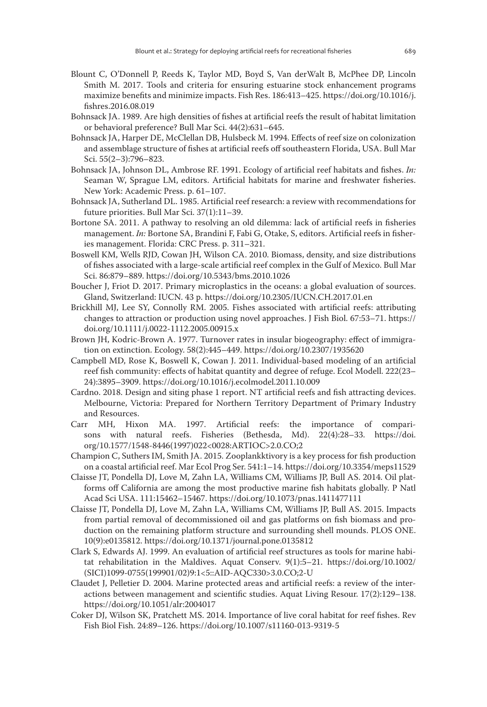- Blount C, O'Donnell P, Reeds K, Taylor MD, Boyd S, Van derWalt B, McPhee DP, Lincoln Smith M. 2017. Tools and criteria for ensuring estuarine stock enhancement programs maximize benefits and minimize impacts. Fish Res. 186:413–425. https://doi.org/10.1016/j. fishres.2016.08.019
- Bohnsack JA. 1989. Are high densities of fishes at artificial reefs the result of habitat limitation or behavioral preference? Bull Mar Sci. 44(2):631–645.
- Bohnsack JA, Harper DE, McClellan DB, Hulsbeck M. 1994. Effects of reef size on colonization and assemblage structure of fishes at artificial reefs off southeastern Florida, USA. Bull Mar Sci. 55(2–3):796–823.
- Bohnsack JA, Johnson DL, Ambrose RF. 1991. Ecology of artificial reef habitats and fishes. *In:* Seaman W, Sprague LM, editors. Artificial habitats for marine and freshwater fisheries. New York: Academic Press. p. 61–107.
- Bohnsack JA, Sutherland DL. 1985. Artificial reef research: a review with recommendations for future priorities. Bull Mar Sci. 37(1):11–39.
- Bortone SA. 2011. A pathway to resolving an old dilemma: lack of artificial reefs in fisheries management. *In:* Bortone SA, Brandini F, Fabi G, Otake, S, editors. Artificial reefs in fisheries management. Florida: CRC Press. p. 311–321.
- Boswell KM, Wells RJD, Cowan JH, Wilson CA. 2010. Biomass, density, and size distributions of fishes associated with a large-scale artificial reef complex in the Gulf of Mexico. Bull Mar Sci. 86:879–889. https://doi.org/10.5343/bms.2010.1026
- Boucher J, Friot D. 2017. Primary microplastics in the oceans: a global evaluation of sources. Gland, Switzerland: IUCN. 43 p. https://doi.org/10.2305/IUCN.CH.2017.01.en
- Brickhill MJ, Lee SY, Connolly RM. 2005. Fishes associated with artificial reefs: attributing changes to attraction or production using novel approaches. J Fish Biol. 67:53–71. https:// doi.org/10.1111/j.0022-1112.2005.00915.x
- Brown JH, Kodric-Brown A. 1977. Turnover rates in insular biogeography: effect of immigration on extinction. Ecology. 58(2):445–449. https://doi.org/10.2307/1935620
- Campbell MD, Rose K, Boswell K, Cowan J. 2011. Individual-based modeling of an artificial reef fish community: effects of habitat quantity and degree of refuge. Ecol Modell. 222(23– 24):3895–3909. https://doi.org/10.1016/j.ecolmodel.2011.10.009
- Cardno. 2018. Design and siting phase 1 report. NT artificial reefs and fish attracting devices. Melbourne, Victoria: Prepared for Northern Territory Department of Primary Industry and Resources.
- Carr MH, Hixon MA. 1997. Artificial reefs: the importance of comparisons with natural reefs. Fisheries (Bethesda, Md). 22(4):28–33. https://doi. org/10.1577/1548-8446(1997)022<0028:ARTIOC>2.0.CO;2
- Champion C, Suthers IM, Smith JA. 2015. Zooplankktivory is a key process for fish production on a coastal artificial reef. Mar Ecol Prog Ser. 541:1–14. https://doi.org/10.3354/meps11529
- Claisse JT, Pondella DJ, Love M, Zahn LA, Williams CM, Williams JP, Bull AS. 2014. Oil platforms off California are among the most productive marine fish habitats globally. P Natl Acad Sci USA. 111:15462–15467. https://doi.org/10.1073/pnas.1411477111
- Claisse JT, Pondella DJ, Love M, Zahn LA, Williams CM, Williams JP, Bull AS. 2015. Impacts from partial removal of decommissioned oil and gas platforms on fish biomass and production on the remaining platform structure and surrounding shell mounds. PLOS ONE. 10(9):e0135812. https://doi.org/10.1371/journal.pone.0135812
- Clark S, Edwards AJ. 1999. An evaluation of artificial reef structures as tools for marine habitat rehabilitation in the Maldives. Aquat Conserv. 9(1):5–21. https://doi.org/10.1002/ (SICI)1099-0755(199901/02)9:1<5::AID-AQC330>3.0.CO;2-U
- Claudet J, Pelletier D. 2004. Marine protected areas and artificial reefs: a review of the interactions between management and scientific studies. Aquat Living Resour. 17(2):129–138. https://doi.org/10.1051/alr:2004017
- Coker DJ, Wilson SK, Pratchett MS. 2014. Importance of live coral habitat for reef fishes. Rev Fish Biol Fish. 24:89–126. https://doi.org/10.1007/s11160-013-9319-5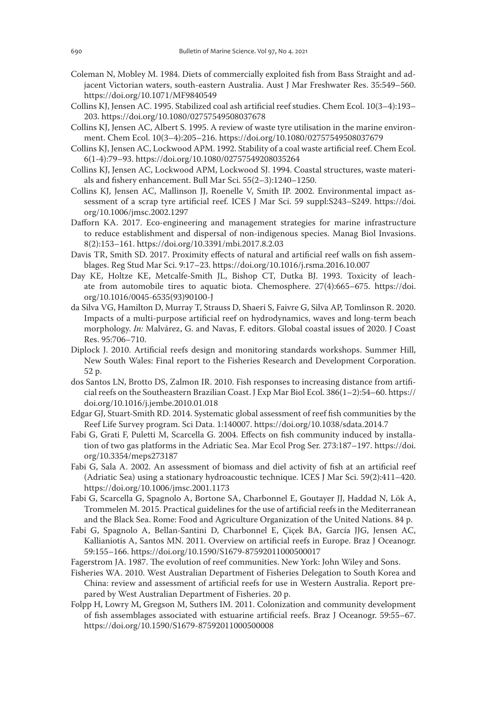- Coleman N, Mobley M. 1984. Diets of commercially exploited fish from Bass Straight and adjacent Victorian waters, south-eastern Australia. Aust J Mar Freshwater Res. 35:549–560. https://doi.org/10.1071/MF9840549
- Collins KJ, Jensen AC. 1995. Stabilized coal ash artificial reef studies. Chem Ecol. 10(3–4):193– 203. https://doi.org/10.1080/02757549508037678
- Collins KJ, Jensen AC, Albert S. 1995. A review of waste tyre utilisation in the marine environment. Chem Ecol. 10(3–4):205–216. https://doi.org/10.1080/02757549508037679
- Collins KJ, Jensen AC, Lockwood APM. 1992. Stability of a coal waste artificial reef. Chem Ecol. 6(1-4):79–93. https://doi.org/10.1080/02757549208035264
- Collins KJ, Jensen AC, Lockwood APM, Lockwood SJ. 1994. Coastal structures, waste materials and fishery enhancement. Bull Mar Sci. 55(2–3):1240–1250.
- Collins KJ, Jensen AC, Mallinson JJ, Roenelle V, Smith IP. 2002. Environmental impact assessment of a scrap tyre artificial reef. ICES J Mar Sci. 59 suppl:S243–S249. https://doi. org/10.1006/jmsc.2002.1297
- Dafforn KA. 2017. Eco-engineering and management strategies for marine infrastructure to reduce establishment and dispersal of non-indigenous species. Manag Biol Invasions. 8(2):153–161. https://doi.org/10.3391/mbi.2017.8.2.03
- Davis TR, Smith SD. 2017. Proximity effects of natural and artificial reef walls on fish assemblages. Reg Stud Mar Sci. 9:17–23. https://doi.org/10.1016/j.rsma.2016.10.007
- Day KE, Holtze KE, Metcalfe-Smith JL, Bishop CT, Dutka BJ. 1993. Toxicity of leachate from automobile tires to aquatic biota. Chemosphere. 27(4):665–675. https://doi. org/10.1016/0045-6535(93)90100-J
- da Silva VG, Hamilton D, Murray T, Strauss D, Shaeri S, Faivre G, Silva AP, Tomlinson R. 2020. Impacts of a multi-purpose artificial reef on hydrodynamics, waves and long-term beach morphology. *In:* Malvárez, G. and Navas, F. editors. Global coastal issues of 2020. J Coast Res. 95:706–710.
- Diplock J. 2010. Artificial reefs design and monitoring standards workshops. Summer Hill, New South Wales: Final report to the Fisheries Research and Development Corporation. 52 p.
- dos Santos LN, Brotto DS, Zalmon IR. 2010. Fish responses to increasing distance from artificial reefs on the Southeastern Brazilian Coast. J Exp Mar Biol Ecol. 386(1–2):54–60. https:// doi.org/10.1016/j.jembe.2010.01.018
- Edgar GJ, Stuart-Smith RD. 2014. Systematic global assessment of reef fish communities by the Reef Life Survey program. Sci Data. 1:140007. https://doi.org/10.1038/sdata.2014.7
- Fabi G, Grati F, Puletti M, Scarcella G. 2004. Effects on fish community induced by installation of two gas platforms in the Adriatic Sea. Mar Ecol Prog Ser. 273:187–197. https://doi. org/10.3354/meps273187
- Fabi G, Sala A. 2002. An assessment of biomass and diel activity of fish at an artificial reef (Adriatic Sea) using a stationary hydroacoustic technique. ICES J Mar Sci. 59(2):411–420. https://doi.org/10.1006/jmsc.2001.1173
- Fabi G, Scarcella G, Spagnolo A, Bortone SA, Charbonnel E, Goutayer JJ, Haddad N, Lök A, Trommelen M. 2015. Practical guidelines for the use of artificial reefs in the Mediterranean and the Black Sea. Rome: Food and Agriculture Organization of the United Nations. 84 p.
- Fabi G, Spagnolo A, Bellan-Santini D, Charbonnel E, Çiçek BA, García JJG, Jensen AC, Kallianiotis A, Santos MN. 2011. Overview on artificial reefs in Europe. Braz J Oceanogr. 59:155–166. https://doi.org/10.1590/S1679-87592011000500017
- Fagerstrom JA. 1987. The evolution of reef communities. New York: John Wiley and Sons.
- Fisheries WA. 2010. West Australian Department of Fisheries Delegation to South Korea and China: review and assessment of artificial reefs for use in Western Australia. Report prepared by West Australian Department of Fisheries. 20 p.
- Folpp H, Lowry M, Gregson M, Suthers IM. 2011. Colonization and community development of fish assemblages associated with estuarine artificial reefs. Braz J Oceanogr. 59:55–67. https://doi.org/10.1590/S1679-87592011000500008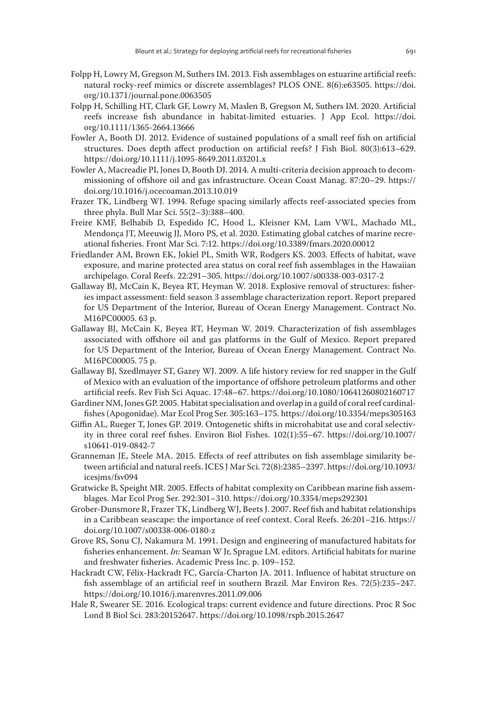- Folpp H, Lowry M, Gregson M, Suthers IM. 2013. Fish assemblages on estuarine artificial reefs: natural rocky-reef mimics or discrete assemblages? PLOS ONE. 8(6):e63505. https://doi. org/10.1371/journal.pone.0063505
- Folpp H, Schilling HT, Clark GF, Lowry M, Maslen B, Gregson M, Suthers IM. 2020. Artificial reefs increase fish abundance in habitat-limited estuaries. J App Ecol. https://doi. org/10.1111/1365-2664.13666
- Fowler A, Booth DJ. 2012. Evidence of sustained populations of a small reef fish on artificial structures. Does depth affect production on artificial reefs? J Fish Biol. 80(3):613–629. https://doi.org/10.1111/j.1095-8649.2011.03201.x
- Fowler A, Macreadie PI, Jones D, Booth DJ. 2014. A multi-criteria decision approach to decommissioning of offshore oil and gas infrastructure. Ocean Coast Manag. 87:20–29. https:// doi.org/10.1016/j.ocecoaman.2013.10.019
- Frazer TK, Lindberg WJ. 1994. Refuge spacing similarly affects reef-associated species from three phyla. Bull Mar Sci. 55(2–3):388–400.
- Freire KMF, Belhabib D, Espedido JC, Hood L, Kleisner KM, Lam VWL, Machado ML, Mendonça JT, Meeuwig JJ, Moro PS, et al. 2020. Estimating global catches of marine recreational fisheries. Front Mar Sci. 7:12. https://doi.org/10.3389/fmars.2020.00012
- Friedlander AM, Brown EK, Jokiel PL, Smith WR, Rodgers KS. 2003. Effects of habitat, wave exposure, and marine protected area status on coral reef fish assemblages in the Hawaiian archipelago. Coral Reefs. 22:291–305. https://doi.org/10.1007/s00338-003-0317-2
- Gallaway BJ, McCain K, Beyea RT, Heyman W. 2018. Explosive removal of structures: fisheries impact assessment: field season 3 assemblage characterization report. Report prepared for US Department of the Interior, Bureau of Ocean Energy Management. Contract No. M16PC00005. 63 p.
- Gallaway BJ, McCain K, Beyea RT, Heyman W. 2019. Characterization of fish assemblages associated with offshore oil and gas platforms in the Gulf of Mexico. Report prepared for US Department of the Interior, Bureau of Ocean Energy Management. Contract No. M16PC00005. 75 p.
- Gallaway BJ, Szedlmayer ST, Gazey WJ. 2009. A life history review for red snapper in the Gulf of Mexico with an evaluation of the importance of offshore petroleum platforms and other artificial reefs. Rev Fish Sci Aquac. 17:48–67. https://doi.org/10.1080/10641260802160717
- Gardiner NM, Jones GP. 2005. Habitat specialisation and overlap in a guild of coral reef cardinalfishes (Apogonidae). Mar Ecol Prog Ser. 305:163–175. https://doi.org/10.3354/meps305163
- Giffin AL, Rueger T, Jones GP. 2019. Ontogenetic shifts in microhabitat use and coral selectivity in three coral reef fishes. Environ Biol Fishes. 102(1):55–67. https://doi.org/10.1007/ s10641-019-0842-7
- Granneman JE, Steele MA. 2015. Effects of reef attributes on fish assemblage similarity between artificial and natural reefs. ICES J Mar Sci. 72(8):2385–2397. https://doi.org/10.1093/ icesjms/fsv094
- Gratwicke B, Speight MR. 2005. Effects of habitat complexity on Caribbean marine fish assemblages. Mar Ecol Prog Ser. 292:301–310. https://doi.org/10.3354/meps292301
- Grober-Dunsmore R, Frazer TK, Lindberg WJ, Beets J. 2007. Reef fish and habitat relationships in a Caribbean seascape: the importance of reef context. Coral Reefs. 26:201–216. https:// doi.org/10.1007/s00338-006-0180-z
- Grove RS, Sonu CJ, Nakamura M. 1991. Design and engineering of manufactured habitats for fisheries enhancement. *In:* Seaman W Jr, Sprague LM. editors. Artificial habitats for marine and freshwater fisheries. Academic Press Inc. p. 109–152.
- Hackradt CW, Félix-Hackradt FC, García-Charton JA. 2011. Influence of habitat structure on fish assemblage of an artificial reef in southern Brazil. Mar Environ Res. 72(5):235–247. https://doi.org/10.1016/j.marenvres.2011.09.006
- Hale R, Swearer SE. 2016. Ecological traps: current evidence and future directions. Proc R Soc Lond B Biol Sci. 283:20152647. https://doi.org/10.1098/rspb.2015.2647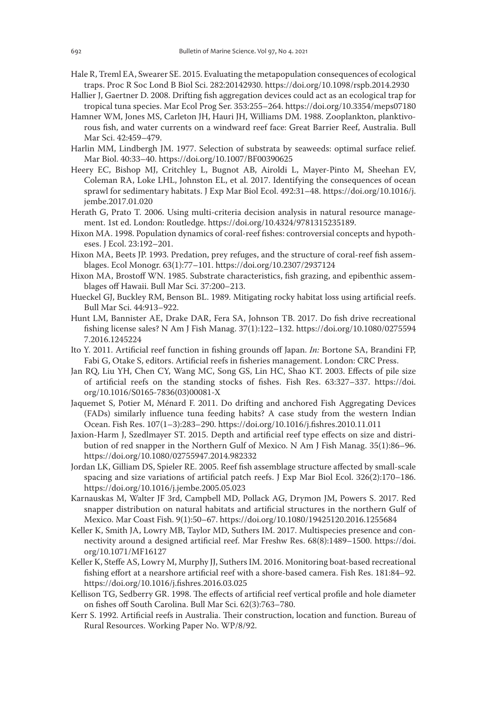- Hale R, Treml EA, Swearer SE. 2015. Evaluating the metapopulation consequences of ecological traps. Proc R Soc Lond B Biol Sci. 282:20142930. https://doi.org/10.1098/rspb.2014.2930
- Hallier J, Gaertner D. 2008. Drifting fish aggregation devices could act as an ecological trap for tropical tuna species. Mar Ecol Prog Ser. 353:255–264. https://doi.org/10.3354/meps07180
- Hamner WM, Jones MS, Carleton JH, Hauri JH, Williams DM. 1988. Zooplankton, planktivorous fish, and water currents on a windward reef face: Great Barrier Reef, Australia. Bull Mar Sci. 42:459–479.
- Harlin MM, Lindbergh JM. 1977. Selection of substrata by seaweeds: optimal surface relief. Mar Biol. 40:33–40. https://doi.org/10.1007/BF00390625
- Heery EC, Bishop MJ, Critchley L, Bugnot AB, Airoldi L, Mayer-Pinto M, Sheehan EV, Coleman RA, Loke LHL, Johnston EL, et al. 2017. Identifying the consequences of ocean sprawl for sedimentary habitats. J Exp Mar Biol Ecol. 492:31–48. https://doi.org/10.1016/j. jembe.2017.01.020
- Herath G, Prato T. 2006. Using multi-criteria decision analysis in natural resource management. 1st ed. London: Routledge. https://doi.org/10.4324/9781315235189.
- Hixon MA. 1998. Population dynamics of coral-reef fishes: controversial concepts and hypotheses. J Ecol. 23:192–201.
- Hixon MA, Beets JP. 1993. Predation, prey refuges, and the structure of coral-reef fish assemblages. Ecol Monogr. 63(1):77–101. https://doi.org/10.2307/2937124
- Hixon MA, Brostoff WN. 1985. Substrate characteristics, fish grazing, and epibenthic assemblages off Hawaii. Bull Mar Sci. 37:200–213.
- Hueckel GJ, Buckley RM, Benson BL. 1989. Mitigating rocky habitat loss using artificial reefs. Bull Mar Sci. 44:913–922.
- Hunt LM, Bannister AE, Drake DAR, Fera SA, Johnson TB. 2017. Do fish drive recreational fishing license sales? N Am J Fish Manag. 37(1):122–132. https://doi.org/10.1080/0275594 7.2016.1245224
- Ito Y. 2011. Artificial reef function in fishing grounds off Japan. *In:* Bortone SA, Brandini FP, Fabi G, Otake S, editors. Artificial reefs in fisheries management. London: CRC Press.
- Jan RQ, Liu YH, Chen CY, Wang MC, Song GS, Lin HC, Shao KT. 2003. Effects of pile size of artificial reefs on the standing stocks of fishes. Fish Res. 63:327–337. https://doi. org/10.1016/S0165-7836(03)00081-X
- Jaquemet S, Potier M, Ménard F. 2011. Do drifting and anchored Fish Aggregating Devices (FADs) similarly influence tuna feeding habits? A case study from the western Indian Ocean. Fish Res. 107(1–3):283–290. https://doi.org/10.1016/j.fishres.2010.11.011
- Jaxion-Harm J, Szedlmayer ST. 2015. Depth and artificial reef type effects on size and distribution of red snapper in the Northern Gulf of Mexico. N Am J Fish Manag. 35(1):86–96. https://doi.org/10.1080/02755947.2014.982332
- Jordan LK, Gilliam DS, Spieler RE. 2005. Reef fish assemblage structure affected by small-scale spacing and size variations of artificial patch reefs. J Exp Mar Biol Ecol. 326(2):170–186. https://doi.org/10.1016/j.jembe.2005.05.023
- Karnauskas M, Walter JF 3rd, Campbell MD, Pollack AG, Drymon JM, Powers S. 2017. Red snapper distribution on natural habitats and artificial structures in the northern Gulf of Mexico. Mar Coast Fish. 9(1):50–67. https://doi.org/10.1080/19425120.2016.1255684
- Keller K, Smith JA, Lowry MB, Taylor MD, Suthers IM. 2017. Multispecies presence and connectivity around a designed artificial reef. Mar Freshw Res. 68(8):1489–1500. https://doi. org/10.1071/MF16127
- Keller K, Steffe AS, Lowry M, Murphy JJ, Suthers IM. 2016. Monitoring boat-based recreational fishing effort at a nearshore artificial reef with a shore-based camera. Fish Res. 181:84–92. https://doi.org/10.1016/j.fishres.2016.03.025
- Kellison TG, Sedberry GR. 1998. The effects of artificial reef vertical profile and hole diameter on fishes off South Carolina. Bull Mar Sci. 62(3):763–780.
- Kerr S. 1992. Artificial reefs in Australia. Their construction, location and function. Bureau of Rural Resources. Working Paper No. WP/8/92.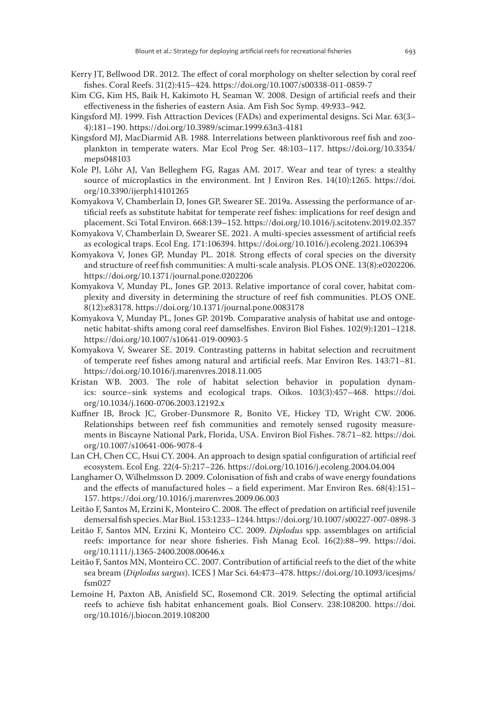- Kerry JT, Bellwood DR. 2012. The effect of coral morphology on shelter selection by coral reef fishes. Coral Reefs. 31(2):415–424. https://doi.org/10.1007/s00338-011-0859-7
- Kim CG, Kim HS, Baik H, Kakimoto H, Seaman W. 2008. Design of artificial reefs and their effectiveness in the fisheries of eastern Asia. Am Fish Soc Symp. 49:933–942.
- Kingsford MJ. 1999. Fish Attraction Devices (FADs) and experimental designs. Sci Mar. 63(3– 4):181–190. https://doi.org/10.3989/scimar.1999.63n3-4181
- Kingsford MJ, MacDiarmid AB. 1988. Interrelations between planktivorous reef fish and zooplankton in temperate waters. Mar Ecol Prog Ser. 48:103–117. https://doi.org/10.3354/ meps048103
- Kole PJ, Löhr AJ, Van Belleghem FG, Ragas AM. 2017. Wear and tear of tyres: a stealthy source of microplastics in the environment. Int J Environ Res. 14(10):1265. https://doi. org/10.3390/ijerph14101265
- Komyakova V, Chamberlain D, Jones GP, Swearer SE. 2019a. Assessing the performance of artificial reefs as substitute habitat for temperate reef fishes: implications for reef design and placement. Sci Total Environ. 668:139–152. https://doi.org/10.1016/j.scitotenv.2019.02.357
- Komyakova V, Chamberlain D, Swearer SE. 2021. A multi-species assessment of artificial reefs as ecological traps. Ecol Eng. 171:106394. https://doi.org/10.1016/j.ecoleng.2021.106394
- Komyakova V, Jones GP, Munday PL. 2018. Strong effects of coral species on the diversity and structure of reef fish communities: A multi-scale analysis. PLOS ONE. 13(8):e0202206. https://doi.org/10.1371/journal.pone.0202206
- Komyakova V, Munday PL, Jones GP. 2013. Relative importance of coral cover, habitat complexity and diversity in determining the structure of reef fish communities. PLOS ONE. 8(12):e83178. https://doi.org/10.1371/journal.pone.0083178
- Komyakova V, Munday PL, Jones GP. 2019b. Comparative analysis of habitat use and ontogenetic habitat-shifts among coral reef damselfishes. Environ Biol Fishes. 102(9):1201–1218. https://doi.org/10.1007/s10641-019-00903-5
- Komyakova V, Swearer SE. 2019. Contrasting patterns in habitat selection and recruitment of temperate reef fishes among natural and artificial reefs. Mar Environ Res. 143:71–81. https://doi.org/10.1016/j.marenvres.2018.11.005
- Kristan WB. 2003. The role of habitat selection behavior in population dynamics: source–sink systems and ecological traps. Oikos. 103(3):457–468. https://doi. org/10.1034/j.1600-0706.2003.12192.x
- Kuffner IB, Brock JC, Grober-Dunsmore R, Bonito VE, Hickey TD, Wright CW. 2006. Relationships between reef fish communities and remotely sensed rugosity measurements in Biscayne National Park, Florida, USA. Environ Biol Fishes. 78:71–82. https://doi. org/10.1007/s10641-006-9078-4
- Lan CH, Chen CC, Hsui CY. 2004. An approach to design spatial configuration of artificial reef ecosystem. Ecol Eng. 22(4-5):217–226. https://doi.org/10.1016/j.ecoleng.2004.04.004
- Langhamer O, Wilhelmsson D. 2009. Colonisation of fish and crabs of wave energy foundations and the effects of manufactured holes – a field experiment. Mar Environ Res. 68(4):151– 157. https://doi.org/10.1016/j.marenvres.2009.06.003
- Leitão F, Santos M, Erzini K, Monteiro C. 2008. The effect of predation on artificial reef juvenile demersal fish species. Mar Biol. 153:1233–1244. https://doi.org/10.1007/s00227-007-0898-3
- Leitão F, Santos MN, Erzini K, Monteiro CC. 2009. *Diplodus* spp. assemblages on artificial reefs: importance for near shore fisheries. Fish Manag Ecol. 16(2):88–99. https://doi. org/10.1111/j.1365-2400.2008.00646.x
- Leitão F, Santos MN, Monteiro CC. 2007. Contribution of artificial reefs to the diet of the white sea bream (*Diplodus sargus*). ICES J Mar Sci. 64:473–478. https://doi.org/10.1093/icesjms/ fsm027
- Lemoine H, Paxton AB, Anisfield SC, Rosemond CR. 2019. Selecting the optimal artificial reefs to achieve fish habitat enhancement goals. Biol Conserv. 238:108200. https://doi. org/10.1016/j.biocon.2019.108200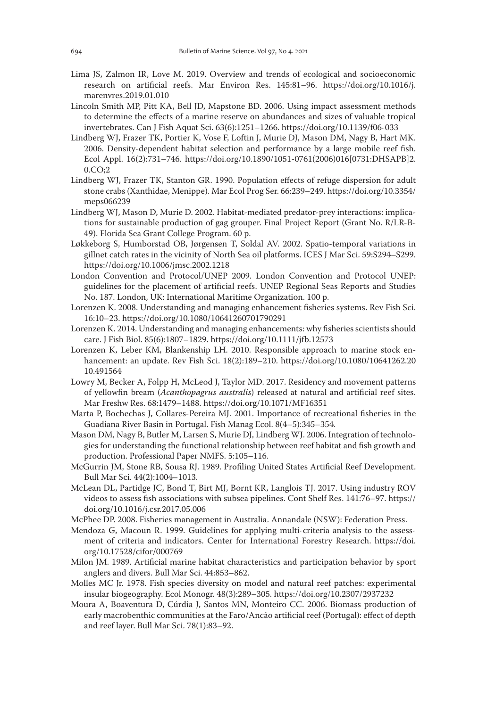- Lima JS, Zalmon IR, Love M. 2019. Overview and trends of ecological and socioeconomic research on artificial reefs. Mar Environ Res. 145:81–96. https://doi.org/10.1016/j. marenvres.2019.01.010
- Lincoln Smith MP, Pitt KA, Bell JD, Mapstone BD. 2006. Using impact assessment methods to determine the effects of a marine reserve on abundances and sizes of valuable tropical invertebrates. Can J Fish Aquat Sci. 63(6):1251–1266. https://doi.org/10.1139/f06-033
- Lindberg WJ, Frazer TK, Portier K, Vose F, Loftin J, Murie DJ, Mason DM, Nagy B, Hart MK. 2006. Density-dependent habitat selection and performance by a large mobile reef fish. Ecol Appl. 16(2):731–746. https://doi.org/10.1890/1051-0761(2006)016[0731:DHSAPB]2. 0.CO;2
- Lindberg WJ, Frazer TK, Stanton GR. 1990. Population effects of refuge dispersion for adult stone crabs (Xanthidae, Menippe). Mar Ecol Prog Ser. 66:239–249. https://doi.org/10.3354/ meps066239
- Lindberg WJ, Mason D, Murie D. 2002. Habitat-mediated predator-prey interactions: implications for sustainable production of gag grouper. Final Project Report (Grant No. R/LR-B-49). Florida Sea Grant College Program. 60 p.
- Løkkeborg S, Humborstad OB, Jørgensen T, Soldal AV. 2002. Spatio-temporal variations in gillnet catch rates in the vicinity of North Sea oil platforms. ICES J Mar Sci. 59:S294–S299. https://doi.org/10.1006/jmsc.2002.1218
- London Convention and Protocol/UNEP 2009. London Convention and Protocol UNEP: guidelines for the placement of artificial reefs. UNEP Regional Seas Reports and Studies No. 187. London, UK: International Maritime Organization. 100 p.
- Lorenzen K. 2008. Understanding and managing enhancement fisheries systems. Rev Fish Sci. 16:10–23. https://doi.org/10.1080/10641260701790291
- Lorenzen K. 2014. Understanding and managing enhancements: why fisheries scientists should care. J Fish Biol. 85(6):1807–1829. https://doi.org/10.1111/jfb.12573
- Lorenzen K, Leber KM, Blankenship LH. 2010. Responsible approach to marine stock enhancement: an update. Rev Fish Sci. 18(2):189–210. https://doi.org/10.1080/10641262.20 10.491564
- Lowry M, Becker A, Folpp H, McLeod J, Taylor MD. 2017. Residency and movement patterns of yellowfin bream (*Acanthopagrus australis*) released at natural and artificial reef sites. Mar Freshw Res. 68:1479–1488. https://doi.org/10.1071/MF16351
- Marta P, Bochechas J, Collares-Pereira MJ. 2001. Importance of recreational fisheries in the Guadiana River Basin in Portugal. Fish Manag Ecol. 8(4–5):345–354.
- Mason DM, Nagy B, Butler M, Larsen S, Murie DJ, Lindberg WJ. 2006. Integration of technologies for understanding the functional relationship between reef habitat and fish growth and production. Professional Paper NMFS. 5:105–116.
- McGurrin JM, Stone RB, Sousa RJ. 1989. Profiling United States Artificial Reef Development. Bull Mar Sci. 44(2):1004–1013.
- McLean DL, Partidge JC, Bond T, Birt MJ, Bornt KR, Langlois TJ. 2017. Using industry ROV videos to assess fish associations with subsea pipelines. Cont Shelf Res. 141:76–97. https:// doi.org/10.1016/j.csr.2017.05.006
- McPhee DP. 2008. Fisheries management in Australia. Annandale (NSW): Federation Press.
- Mendoza G, Macoun R. 1999. Guidelines for applying multi-criteria analysis to the assessment of criteria and indicators. Center for International Forestry Research. https://doi. org/10.17528/cifor/000769
- Milon JM. 1989. Artificial marine habitat characteristics and participation behavior by sport anglers and divers. Bull Mar Sci. 44:853–862.
- Molles MC Jr. 1978. Fish species diversity on model and natural reef patches: experimental insular biogeography. Ecol Monogr. 48(3):289–305. https://doi.org/10.2307/2937232
- Moura A, Boaventura D, Cúrdia J, Santos MN, Monteiro CC. 2006. Biomass production of early macrobenthic communities at the Faro/Ancão artificial reef (Portugal): effect of depth and reef layer. Bull Mar Sci. 78(1):83–92.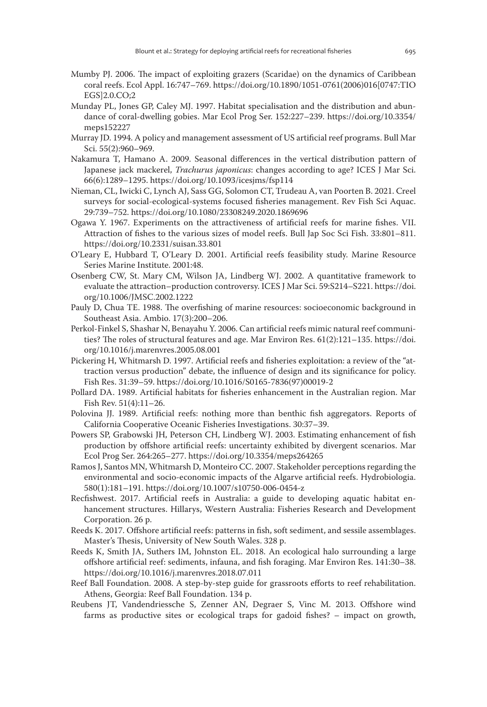- Mumby PJ. 2006. The impact of exploiting grazers (Scaridae) on the dynamics of Caribbean coral reefs. Ecol Appl. 16:747–769. https://doi.org/10.1890/1051-0761(2006)016[0747:TIO EGS]2.0.CO;2
- Munday PL, Jones GP, Caley MJ. 1997. Habitat specialisation and the distribution and abundance of coral-dwelling gobies. Mar Ecol Prog Ser. 152:227–239. https://doi.org/10.3354/ meps152227
- Murray JD. 1994. A policy and management assessment of US artificial reef programs. Bull Mar Sci. 55(2):960–969.
- Nakamura T, Hamano A. 2009. Seasonal differences in the vertical distribution pattern of Japanese jack mackerel, *Trachurus japonicus*: changes according to age? ICES J Mar Sci. 66(6):1289–1295. https://doi.org/10.1093/icesjms/fsp114
- Nieman, CL, Iwicki C, Lynch AJ, Sass GG, Solomon CT, Trudeau A, van Poorten B. 2021. Creel surveys for social-ecological-systems focused fisheries management. Rev Fish Sci Aquac. 29:739–752. https://doi.org/10.1080/23308249.2020.1869696
- Ogawa Y. 1967. Experiments on the attractiveness of artificial reefs for marine fishes. VII. Attraction of fishes to the various sizes of model reefs. Bull Jap Soc Sci Fish. 33:801–811. https://doi.org/10.2331/suisan.33.801
- O'Leary E, Hubbard T, O'Leary D. 2001. Artificial reefs feasibility study. Marine Resource Series Marine Institute. 2001:48.
- Osenberg CW, St. Mary CM, Wilson JA, Lindberg WJ. 2002. A quantitative framework to evaluate the attraction–production controversy. ICES J Mar Sci. 59:S214–S221. https://doi. org/10.1006/JMSC.2002.1222
- Pauly D, Chua TE. 1988. The overfishing of marine resources: socioeconomic background in Southeast Asia. Ambio. 17(3):200–206.
- Perkol-Finkel S, Shashar N, Benayahu Y. 2006. Can artificial reefs mimic natural reef communities? The roles of structural features and age. Mar Environ Res. 61(2):121–135. https://doi. org/10.1016/j.marenvres.2005.08.001
- Pickering H, Whitmarsh D. 1997. Artificial reefs and fisheries exploitation: a review of the "attraction versus production" debate, the influence of design and its significance for policy. Fish Res. 31:39–59. https://doi.org/10.1016/S0165-7836(97)00019-2
- Pollard DA. 1989. Artificial habitats for fisheries enhancement in the Australian region. Mar Fish Rev. 51(4):11–26.
- Polovina JJ. 1989. Artificial reefs: nothing more than benthic fish aggregators. Reports of California Cooperative Oceanic Fisheries Investigations. 30:37–39.
- Powers SP, Grabowski JH, Peterson CH, Lindberg WJ. 2003. Estimating enhancement of fish production by offshore artificial reefs: uncertainty exhibited by divergent scenarios. Mar Ecol Prog Ser. 264:265–277. https://doi.org/10.3354/meps264265
- Ramos J, Santos MN, Whitmarsh D, Monteiro CC. 2007. Stakeholder perceptions regarding the environmental and socio-economic impacts of the Algarve artificial reefs. Hydrobiologia. 580(1):181–191. https://doi.org/10.1007/s10750-006-0454-z
- Recfishwest. 2017. Artificial reefs in Australia: a guide to developing aquatic habitat enhancement structures. Hillarys, Western Australia: Fisheries Research and Development Corporation. 26 p.
- Reeds K. 2017. Offshore artificial reefs: patterns in fish, soft sediment, and sessile assemblages. Master's Thesis, University of New South Wales. 328 p.
- Reeds K, Smith JA, Suthers IM, Johnston EL. 2018. An ecological halo surrounding a large offshore artificial reef: sediments, infauna, and fish foraging. Mar Environ Res. 141:30–38. https://doi.org/10.1016/j.marenvres.2018.07.011
- Reef Ball Foundation. 2008. A step-by-step guide for grassroots efforts to reef rehabilitation. Athens, Georgia: Reef Ball Foundation. 134 p.
- Reubens JT, Vandendriessche S, Zenner AN, Degraer S, Vinc M. 2013. Offshore wind farms as productive sites or ecological traps for gadoid fishes? – impact on growth,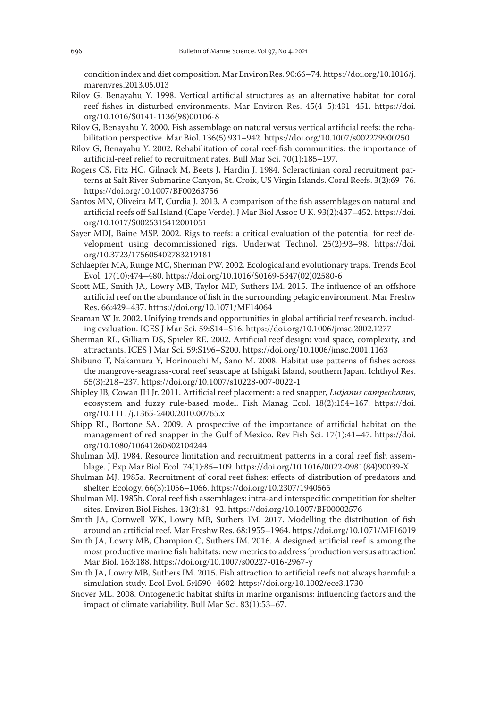condition index and diet composition. Mar Environ Res. 90:66–74. https://doi.org/10.1016/j. marenvres.2013.05.013

- Rilov G, Benayahu Y. 1998. Vertical artificial structures as an alternative habitat for coral reef fishes in disturbed environments. Mar Environ Res. 45(4–5):431–451. https://doi. org/10.1016/S0141-1136(98)00106-8
- Rilov G, Benayahu Y. 2000. Fish assemblage on natural versus vertical artificial reefs: the rehabilitation perspective. Mar Biol. 136(5):931–942. https://doi.org/10.1007/s002279900250
- Rilov G, Benayahu Y. 2002. Rehabilitation of coral reef-fish communities: the importance of artificial-reef relief to recruitment rates. Bull Mar Sci. 70(1):185–197.
- Rogers CS, Fitz HC, Gilnack M, Beets J, Hardin J. 1984. Scleractinian coral recruitment patterns at Salt River Submarine Canyon, St. Croix, US Virgin Islands. Coral Reefs. 3(2):69–76. https://doi.org/10.1007/BF00263756
- Santos MN, Oliveira MT, Curdia J. 2013. A comparison of the fish assemblages on natural and artificial reefs off Sal Island (Cape Verde). J Mar Biol Assoc U K. 93(2):437–452. https://doi. org/10.1017/S0025315412001051
- Sayer MDJ, Baine MSP. 2002. Rigs to reefs: a critical evaluation of the potential for reef development using decommissioned rigs. Underwat Technol. 25(2):93–98. https://doi. org/10.3723/175605402783219181
- Schlaepfer MA, Runge MC, Sherman PW. 2002. Ecological and evolutionary traps. Trends Ecol Evol. 17(10):474–480. https://doi.org/10.1016/S0169-5347(02)02580-6
- Scott ME, Smith JA, Lowry MB, Taylor MD, Suthers IM. 2015. The influence of an offshore artificial reef on the abundance of fish in the surrounding pelagic environment. Mar Freshw Res. 66:429–437. https://doi.org/10.1071/MF14064
- Seaman W Jr. 2002. Unifying trends and opportunities in global artificial reef research, including evaluation. ICES J Mar Sci. 59:S14–S16. https://doi.org/10.1006/jmsc.2002.1277
- Sherman RL, Gilliam DS, Spieler RE. 2002. Artificial reef design: void space, complexity, and attractants. ICES J Mar Sci. 59:S196–S200. https://doi.org/10.1006/jmsc.2001.1163
- Shibuno T, Nakamura Y, Horinouchi M, Sano M. 2008. Habitat use patterns of fishes across the mangrove-seagrass-coral reef seascape at Ishigaki Island, southern Japan. Ichthyol Res. 55(3):218–237. https://doi.org/10.1007/s10228-007-0022-1
- Shipley JB, Cowan JH Jr. 2011. Artificial reef placement: a red snapper, *Lutjanus campechanus*, ecosystem and fuzzy rule-based model. Fish Manag Ecol. 18(2):154–167. https://doi. org/10.1111/j.1365-2400.2010.00765.x
- Shipp RL, Bortone SA. 2009. A prospective of the importance of artificial habitat on the management of red snapper in the Gulf of Mexico. Rev Fish Sci. 17(1):41–47. https://doi. org/10.1080/10641260802104244
- Shulman MJ. 1984. Resource limitation and recruitment patterns in a coral reef fish assemblage. J Exp Mar Biol Ecol. 74(1):85–109. https://doi.org/10.1016/0022-0981(84)90039-X
- Shulman MJ. 1985a. Recruitment of coral reef fishes: effects of distribution of predators and shelter. Ecology. 66(3):1056–1066. https://doi.org/10.2307/1940565
- Shulman MJ. 1985b. Coral reef fish assemblages: intra-and interspecific competition for shelter sites. Environ Biol Fishes. 13(2):81–92. https://doi.org/10.1007/BF00002576
- Smith JA, Cornwell WK, Lowry MB, Suthers IM. 2017. Modelling the distribution of fish around an artificial reef. Mar Freshw Res. 68:1955–1964. https://doi.org/10.1071/MF16019
- Smith JA, Lowry MB, Champion C, Suthers IM. 2016. A designed artificial reef is among the most productive marine fish habitats: new metrics to address 'production versus attraction'. Mar Biol. 163:188. https://doi.org/10.1007/s00227-016-2967-y
- Smith JA, Lowry MB, Suthers IM. 2015. Fish attraction to artificial reefs not always harmful: a simulation study. Ecol Evol. 5:4590–4602. https://doi.org/10.1002/ece3.1730
- Snover ML. 2008. Ontogenetic habitat shifts in marine organisms: influencing factors and the impact of climate variability. Bull Mar Sci. 83(1):53–67.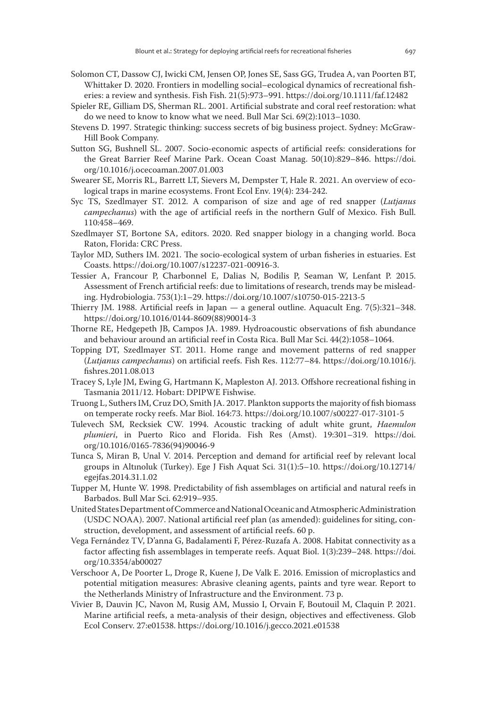- Solomon CT, Dassow CJ, Iwicki CM, Jensen OP, Jones SE, Sass GG, Trudea A, van Poorten BT, Whittaker D. 2020. Frontiers in modelling social–ecological dynamics of recreational fisheries: a review and synthesis. Fish Fish. 21(5):973–991. https://doi.org/10.1111/faf.12482
- Spieler RE, Gilliam DS, Sherman RL. 2001. Artificial substrate and coral reef restoration: what do we need to know to know what we need. Bull Mar Sci. 69(2):1013–1030.
- Stevens D. 1997. Strategic thinking: success secrets of big business project. Sydney: McGraw-Hill Book Company.
- Sutton SG, Bushnell SL. 2007. Socio-economic aspects of artificial reefs: considerations for the Great Barrier Reef Marine Park. Ocean Coast Manag. 50(10):829–846. https://doi. org/10.1016/j.ocecoaman.2007.01.003
- Swearer SE, Morris RL, Barrett LT, Sievers M, Dempster T, Hale R. 2021. An overview of ecological traps in marine ecosystems. Front Ecol Env. 19(4): 234-242.
- Syc TS, Szedlmayer ST. 2012. A comparison of size and age of red snapper (*Lutjanus campechanus*) with the age of artificial reefs in the northern Gulf of Mexico. Fish Bull. 110:458–469.
- Szedlmayer ST, Bortone SA, editors. 2020. Red snapper biology in a changing world. Boca Raton, Florida: CRC Press.
- Taylor MD, Suthers IM. 2021. The socio-ecological system of urban fisheries in estuaries. Est Coasts. https://doi.org/10.1007/s12237-021-00916-3.
- Tessier A, Francour P, Charbonnel E, Dalias N, Bodilis P, Seaman W, Lenfant P. 2015. Assessment of French artificial reefs: due to limitations of research, trends may be misleading. Hydrobiologia. 753(1):1–29. https://doi.org/10.1007/s10750-015-2213-5
- Thierry JM. 1988. Artificial reefs in Japan a general outline. Aquacult Eng. 7(5):321–348. https://doi.org/10.1016/0144-8609(88)90014-3
- Thorne RE, Hedgepeth JB, Campos JA. 1989. Hydroacoustic observations of fish abundance and behaviour around an artificial reef in Costa Rica. Bull Mar Sci. 44(2):1058–1064.
- Topping DT, Szedlmayer ST. 2011. Home range and movement patterns of red snapper (*Lutjanus campechanus*) on artificial reefs. Fish Res. 112:77–84. https://doi.org/10.1016/j. fishres.2011.08.013
- Tracey S, Lyle JM, Ewing G, Hartmann K, Mapleston AJ. 2013. Offshore recreational fishing in Tasmania 2011/12. Hobart: DPIPWE Fishwise.
- Truong L, Suthers IM, Cruz DO, Smith JA. 2017. Plankton supports the majority of fish biomass on temperate rocky reefs. Mar Biol. 164:73. https://doi.org/10.1007/s00227-017-3101-5
- Tulevech SM, Recksiek CW. 1994. Acoustic tracking of adult white grunt, *Haemulon plumieri*, in Puerto Rico and Florida. Fish Res (Amst). 19:301–319. https://doi. org/10.1016/0165-7836(94)90046-9
- Tunca S, Miran B, Unal V. 2014. Perception and demand for artificial reef by relevant local groups in Altınoluk (Turkey). Ege J Fish Aquat Sci. 31(1):5–10. https://doi.org/10.12714/ egejfas.2014.31.1.02
- Tupper M, Hunte W. 1998. Predictability of fish assemblages on artificial and natural reefs in Barbados. Bull Mar Sci. 62:919–935.
- United States Department of Commerce and National Oceanic and Atmospheric Administration (USDC NOAA). 2007. National artificial reef plan (as amended): guidelines for siting, construction, development, and assessment of artificial reefs. 60 p.
- Vega Fernández TV, D'anna G, Badalamenti F, Pérez-Ruzafa A. 2008. Habitat connectivity as a factor affecting fish assemblages in temperate reefs. Aquat Biol. 1(3):239–248. https://doi. org/10.3354/ab00027
- Verschoor A, De Poorter L, Droge R, Kuene J, De Valk E. 2016. Emission of microplastics and potential mitigation measures: Abrasive cleaning agents, paints and tyre wear. Report to the Netherlands Ministry of Infrastructure and the Environment. 73 p.
- Vivier B, Dauvin JC, Navon M, Rusig AM, Mussio I, Orvain F, Boutouil M, Claquin P. 2021. Marine artificial reefs, a meta-analysis of their design, objectives and effectiveness. Glob Ecol Conserv. 27:e01538. https://doi.org/10.1016/j.gecco.2021.e01538